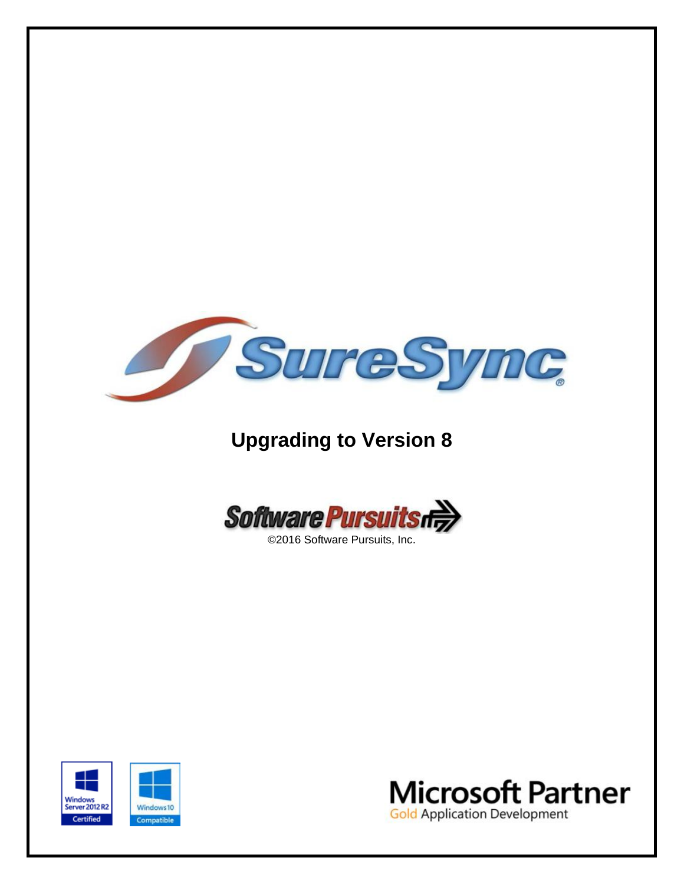

# **Upgrading to Version 8**



©2016 Software Pursuits, Inc.



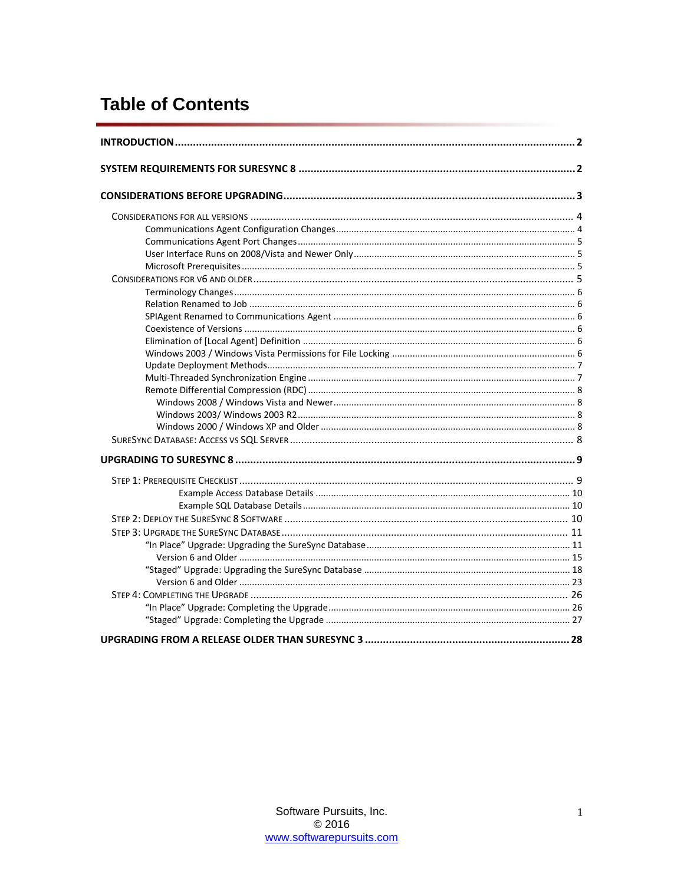## **Table of Contents**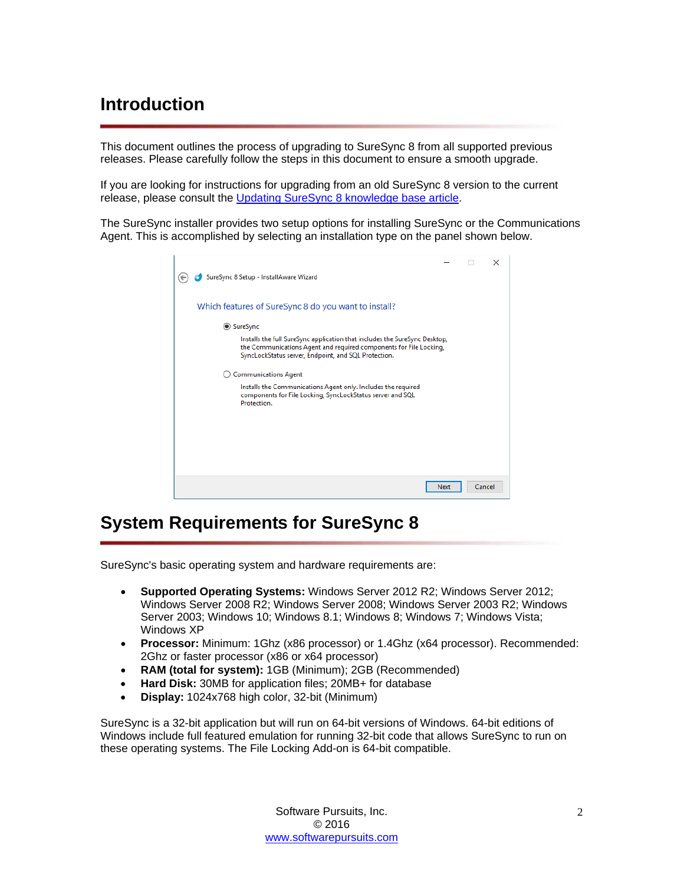## <span id="page-2-0"></span>**Introduction**

This document outlines the process of upgrading to SureSync 8 from all supported previous releases. Please carefully follow the steps in this document to ensure a smooth upgrade.

If you are looking for instructions for upgrading from an old SureSync 8 version to the current release, please consult the Updating SureSync 8 [knowledge base article.](http://kb.softwarepursuits.com/article.php?id=99)

The SureSync installer provides two setup options for installing SureSync or the Communications Agent. This is accomplished by selecting an installation type on the panel shown below.

|                                                                                                                                                                                                          |        | × |
|----------------------------------------------------------------------------------------------------------------------------------------------------------------------------------------------------------|--------|---|
| SureSync 8 Setup - InstallAware Wizard                                                                                                                                                                   |        |   |
| Which features of SureSync 8 do you want to install?                                                                                                                                                     |        |   |
| <b>◎ SureSync</b>                                                                                                                                                                                        |        |   |
| Installs the full SureSync application that includes the SureSync Desktop,<br>the Communications Agent and required components for File Locking,<br>SyncLockStatus server, Endpoint, and SQL Protection. |        |   |
| <b>Communications Agent</b><br>( )                                                                                                                                                                       |        |   |
| Installs the Communications Agent only. Includes the required<br>components for File Locking, SyncLockStatus server and SQL<br>Protection.                                                               |        |   |
|                                                                                                                                                                                                          |        |   |
|                                                                                                                                                                                                          |        |   |
|                                                                                                                                                                                                          |        |   |
|                                                                                                                                                                                                          |        |   |
| Next                                                                                                                                                                                                     | Cancel |   |

## <span id="page-2-1"></span>**System Requirements for SureSync 8**

SureSync's basic operating system and hardware requirements are:

- **Supported Operating Systems:** Windows Server 2012 R2; Windows Server 2012; Windows Server 2008 R2; Windows Server 2008; Windows Server 2003 R2; Windows Server 2003; Windows 10; Windows 8.1; Windows 8; Windows 7; Windows Vista; Windows XP
- **Processor:** Minimum: 1Ghz (x86 processor) or 1.4Ghz (x64 processor). Recommended: 2Ghz or faster processor (x86 or x64 processor)
- **RAM (total for system):** 1GB (Minimum); 2GB (Recommended)
- **Hard Disk:** 30MB for application files; 20MB+ for database
- **Display:** 1024x768 high color, 32-bit (Minimum)

SureSync is a 32-bit application but will run on 64-bit versions of Windows. 64-bit editions of Windows include full featured emulation for running 32-bit code that allows SureSync to run on these operating systems. The File Locking Add-on is 64-bit compatible.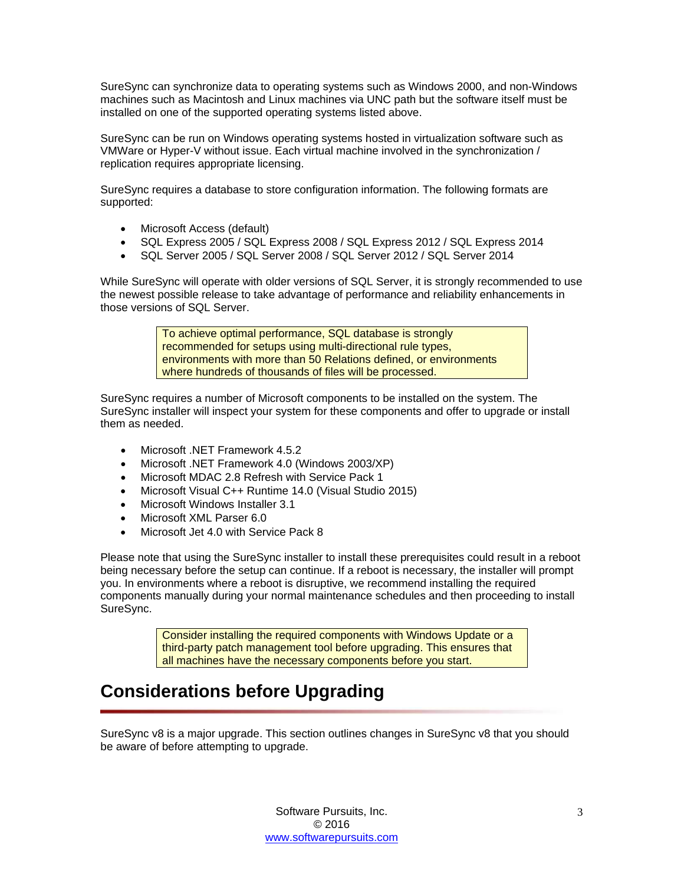SureSync can synchronize data to operating systems such as Windows 2000, and non-Windows machines such as Macintosh and Linux machines via UNC path but the software itself must be installed on one of the supported operating systems listed above.

SureSync can be run on Windows operating systems hosted in virtualization software such as VMWare or Hyper-V without issue. Each virtual machine involved in the synchronization / replication requires appropriate licensing.

SureSync requires a database to store configuration information. The following formats are supported:

- Microsoft Access (default)
- SQL Express 2005 / SQL Express 2008 / SQL Express 2012 / SQL Express 2014
- SQL Server 2005 / SQL Server 2008 / SQL Server 2012 / SQL Server 2014

While SureSync will operate with older versions of SQL Server, it is strongly recommended to use the newest possible release to take advantage of performance and reliability enhancements in those versions of SQL Server.

> To achieve optimal performance, SQL database is strongly recommended for setups using multi-directional rule types, environments with more than 50 Relations defined, or environments where hundreds of thousands of files will be processed.

SureSync requires a number of Microsoft components to be installed on the system. The SureSync installer will inspect your system for these components and offer to upgrade or install them as needed.

- Microsoft .NET Framework 4.5.2
- Microsoft .NET Framework 4.0 (Windows 2003/XP)
- Microsoft MDAC 2.8 Refresh with Service Pack 1
- Microsoft Visual C++ Runtime 14.0 (Visual Studio 2015)
- Microsoft Windows Installer 3.1
- Microsoft XML Parser 6.0
- Microsoft Jet 4.0 with Service Pack 8

Please note that using the SureSync installer to install these prerequisites could result in a reboot being necessary before the setup can continue. If a reboot is necessary, the installer will prompt you. In environments where a reboot is disruptive, we recommend installing the required components manually during your normal maintenance schedules and then proceeding to install SureSync.

> Consider installing the required components with Windows Update or a third-party patch management tool before upgrading. This ensures that all machines have the necessary components before you start.

## <span id="page-3-0"></span>**Considerations before Upgrading**

SureSync v8 is a major upgrade. This section outlines changes in SureSync v8 that you should be aware of before attempting to upgrade.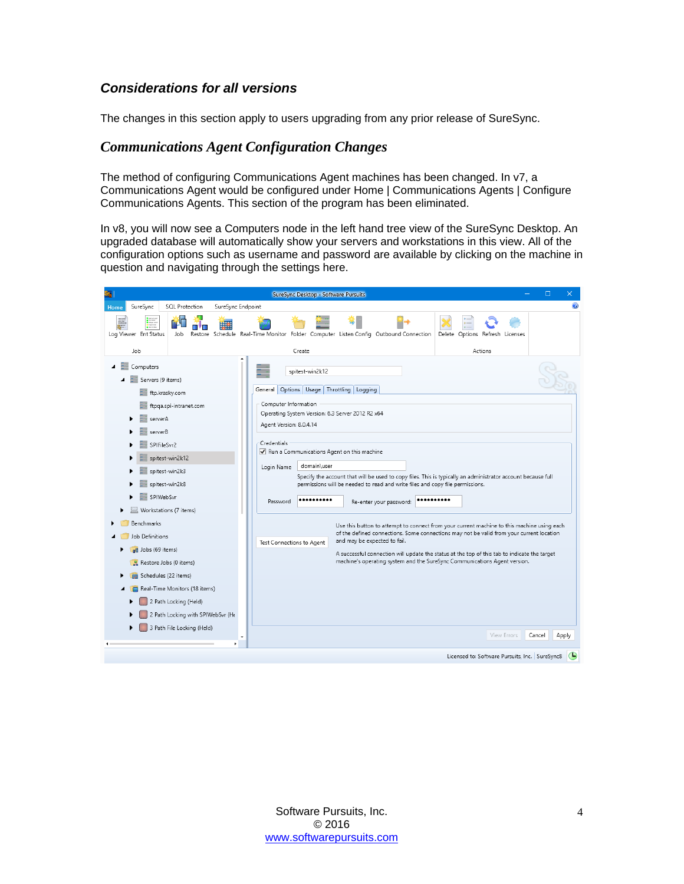## <span id="page-4-0"></span>*Considerations for all versions*

<span id="page-4-1"></span>The changes in this section apply to users upgrading from any prior release of SureSync.

#### *Communications Agent Configuration Changes*

The method of configuring Communications Agent machines has been changed. In v7, a Communications Agent would be configured under Home | Communications Agents | Configure Communications Agents. This section of the program has been eliminated.

In v8, you will now see a Computers node in the left hand tree view of the SureSync Desktop. An upgraded database will automatically show your servers and workstations in this view. All of the configuration options such as username and password are available by clicking on the machine in question and navigating through the settings here.

|                                                                | SureSync Desktop - Software Pursuits                                                                                                      | $\Box$<br>×                                                                                  |
|----------------------------------------------------------------|-------------------------------------------------------------------------------------------------------------------------------------------|----------------------------------------------------------------------------------------------|
| SureSync<br><b>SQL Protection</b><br>SureSync Endpoint<br>Home |                                                                                                                                           |                                                                                              |
| Log Viewer Ent Status<br>Job                                   | Restore Schedule Real-Time Monitor Folder Computer Listen Config Outbound Connection                                                      | Delete Options Refresh Licenses                                                              |
| Job                                                            | Create                                                                                                                                    | Actions                                                                                      |
| Computers                                                      | spitest-win2k12                                                                                                                           |                                                                                              |
| Servers (9 items)<br>Ξũ                                        |                                                                                                                                           |                                                                                              |
| ftp.krasky.com                                                 | Options   Usage   Throttling   Logging<br>General                                                                                         |                                                                                              |
| ftpqa.spi-intranet.com                                         | Computer Information                                                                                                                      |                                                                                              |
| serverA                                                        | Operating System Version: 6.3 Server 2012 R2 x64<br>Agent Version: 8.0.4.14                                                               |                                                                                              |
| serverB                                                        |                                                                                                                                           |                                                                                              |
| SPIFileSvr2                                                    | Credentials<br>Run a Communications Agent on this machine                                                                                 |                                                                                              |
| spitest-win2k12                                                |                                                                                                                                           |                                                                                              |
| spitest-win2k3                                                 | domain\user<br>Login Name<br>Specify the account that will be used to copy files. This is typically an administrator account because full |                                                                                              |
| spitest-win2k8                                                 | permissions will be needed to read and write files and copy file permissions.                                                             |                                                                                              |
| SPIWebSvr                                                      | Password<br>Re-enter your password:                                                                                                       |                                                                                              |
| Workstations (7 items)                                         |                                                                                                                                           |                                                                                              |
| Benchmarks                                                     |                                                                                                                                           | Use this button to attempt to connect from your current machine to this machine using each   |
| Job Definitions                                                | and may be expected to fail.<br>Test Connections to Agent                                                                                 | of the defined connections. Some connections may not be valid from your current location     |
| dd Jobs (69 items)                                             |                                                                                                                                           | A successful connection will update the status at the top of this tab to indicate the target |
| Restore Jobs (0 items)                                         |                                                                                                                                           | machine's operating system and the SureSync Communications Agent version.                    |
| Schedules (22 items)                                           |                                                                                                                                           |                                                                                              |
| Real-Time Monitors (18 items)                                  |                                                                                                                                           |                                                                                              |
| 2 Path Locking (Held)                                          |                                                                                                                                           |                                                                                              |
| 2 Path Locking with SPIWebSvr (He                              |                                                                                                                                           |                                                                                              |
| 3 Path File Locking (Held)                                     |                                                                                                                                           | View Errors<br>Cancel<br>Apply                                                               |
|                                                                |                                                                                                                                           |                                                                                              |
|                                                                |                                                                                                                                           | Licensed to: Software Pursuits, Inc. SureSync8                                               |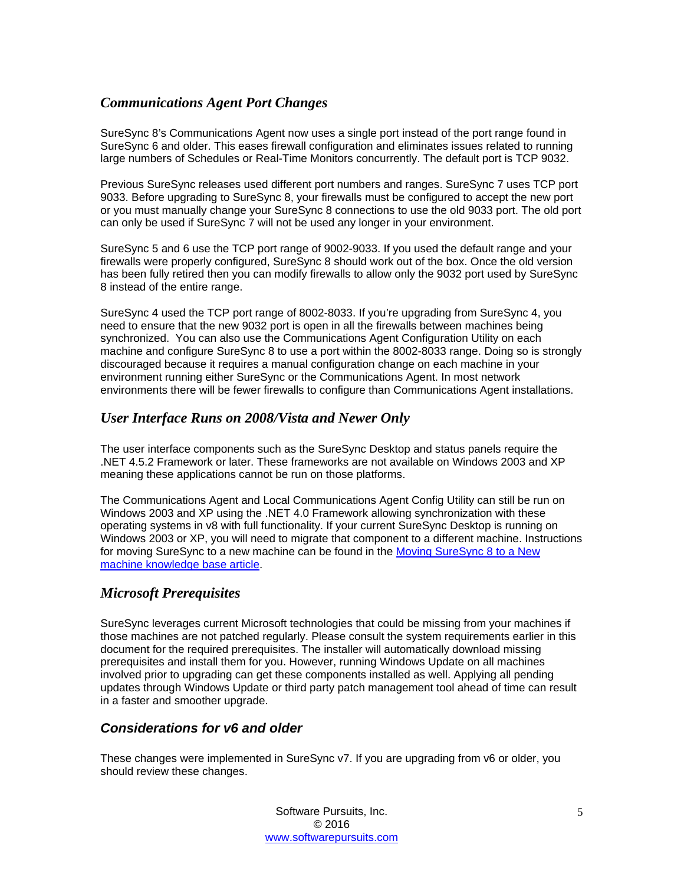## <span id="page-5-0"></span>*Communications Agent Port Changes*

SureSync 8's Communications Agent now uses a single port instead of the port range found in SureSync 6 and older. This eases firewall configuration and eliminates issues related to running large numbers of Schedules or Real-Time Monitors concurrently. The default port is TCP 9032.

Previous SureSync releases used different port numbers and ranges. SureSync 7 uses TCP port 9033. Before upgrading to SureSync 8, your firewalls must be configured to accept the new port or you must manually change your SureSync 8 connections to use the old 9033 port. The old port can only be used if SureSync 7 will not be used any longer in your environment.

SureSync 5 and 6 use the TCP port range of 9002-9033. If you used the default range and your firewalls were properly configured, SureSync 8 should work out of the box. Once the old version has been fully retired then you can modify firewalls to allow only the 9032 port used by SureSync 8 instead of the entire range.

SureSync 4 used the TCP port range of 8002-8033. If you're upgrading from SureSync 4, you need to ensure that the new 9032 port is open in all the firewalls between machines being synchronized. You can also use the Communications Agent Configuration Utility on each machine and configure SureSync 8 to use a port within the 8002-8033 range. Doing so is strongly discouraged because it requires a manual configuration change on each machine in your environment running either SureSync or the Communications Agent. In most network environments there will be fewer firewalls to configure than Communications Agent installations.

## <span id="page-5-1"></span>*User Interface Runs on 2008/Vista and Newer Only*

The user interface components such as the SureSync Desktop and status panels require the .NET 4.5.2 Framework or later. These frameworks are not available on Windows 2003 and XP meaning these applications cannot be run on those platforms.

The Communications Agent and Local Communications Agent Config Utility can still be run on Windows 2003 and XP using the .NET 4.0 Framework allowing synchronization with these operating systems in v8 with full functionality. If your current SureSync Desktop is running on Windows 2003 or XP, you will need to migrate that component to a different machine. Instructions for moving SureSync to a new machine can be found in the Moving SureSync 8 to a New [machine knowledge base article.](http://kb.softwarepursuits.com/article.php?id=100)

## <span id="page-5-2"></span>*Microsoft Prerequisites*

SureSync leverages current Microsoft technologies that could be missing from your machines if those machines are not patched regularly. Please consult the system requirements earlier in this document for the required prerequisites. The installer will automatically download missing prerequisites and install them for you. However, running Windows Update on all machines involved prior to upgrading can get these components installed as well. Applying all pending updates through Windows Update or third party patch management tool ahead of time can result in a faster and smoother upgrade.

## <span id="page-5-3"></span>*Considerations for v6 and older*

These changes were implemented in SureSync v7. If you are upgrading from v6 or older, you should review these changes.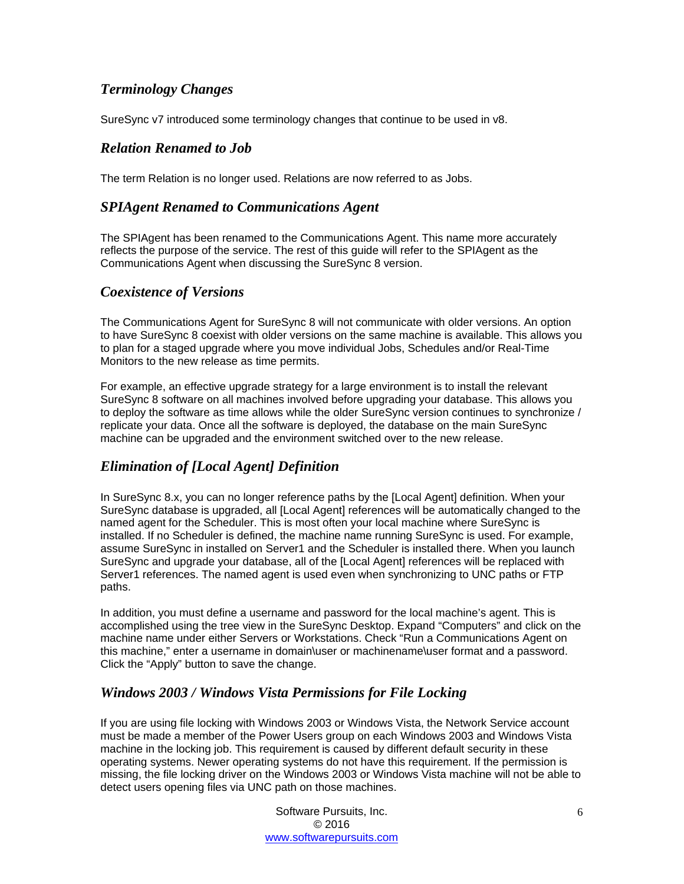## <span id="page-6-0"></span>*Terminology Changes*

<span id="page-6-1"></span>SureSync v7 introduced some terminology changes that continue to be used in v8.

## *Relation Renamed to Job*

<span id="page-6-2"></span>The term Relation is no longer used. Relations are now referred to as Jobs.

## *SPIAgent Renamed to Communications Agent*

The SPIAgent has been renamed to the Communications Agent. This name more accurately reflects the purpose of the service. The rest of this guide will refer to the SPIAgent as the Communications Agent when discussing the SureSync 8 version.

### <span id="page-6-3"></span>*Coexistence of Versions*

The Communications Agent for SureSync 8 will not communicate with older versions. An option to have SureSync 8 coexist with older versions on the same machine is available. This allows you to plan for a staged upgrade where you move individual Jobs, Schedules and/or Real-Time Monitors to the new release as time permits.

For example, an effective upgrade strategy for a large environment is to install the relevant SureSync 8 software on all machines involved before upgrading your database. This allows you to deploy the software as time allows while the older SureSync version continues to synchronize / replicate your data. Once all the software is deployed, the database on the main SureSync machine can be upgraded and the environment switched over to the new release.

## <span id="page-6-4"></span>*Elimination of [Local Agent] Definition*

In SureSync 8.x, you can no longer reference paths by the [Local Agent] definition. When your SureSync database is upgraded, all [Local Agent] references will be automatically changed to the named agent for the Scheduler. This is most often your local machine where SureSync is installed. If no Scheduler is defined, the machine name running SureSync is used. For example, assume SureSync in installed on Server1 and the Scheduler is installed there. When you launch SureSync and upgrade your database, all of the [Local Agent] references will be replaced with Server1 references. The named agent is used even when synchronizing to UNC paths or FTP paths.

In addition, you must define a username and password for the local machine's agent. This is accomplished using the tree view in the SureSync Desktop. Expand "Computers" and click on the machine name under either Servers or Workstations. Check "Run a Communications Agent on this machine," enter a username in domain\user or machinename\user format and a password. Click the "Apply" button to save the change.

## <span id="page-6-5"></span>*Windows 2003 / Windows Vista Permissions for File Locking*

If you are using file locking with Windows 2003 or Windows Vista, the Network Service account must be made a member of the Power Users group on each Windows 2003 and Windows Vista machine in the locking job. This requirement is caused by different default security in these operating systems. Newer operating systems do not have this requirement. If the permission is missing, the file locking driver on the Windows 2003 or Windows Vista machine will not be able to detect users opening files via UNC path on those machines.

> Software Pursuits, Inc. © 2016 [www.softwarepursuits.com](http://www.softwarepursuits.com/)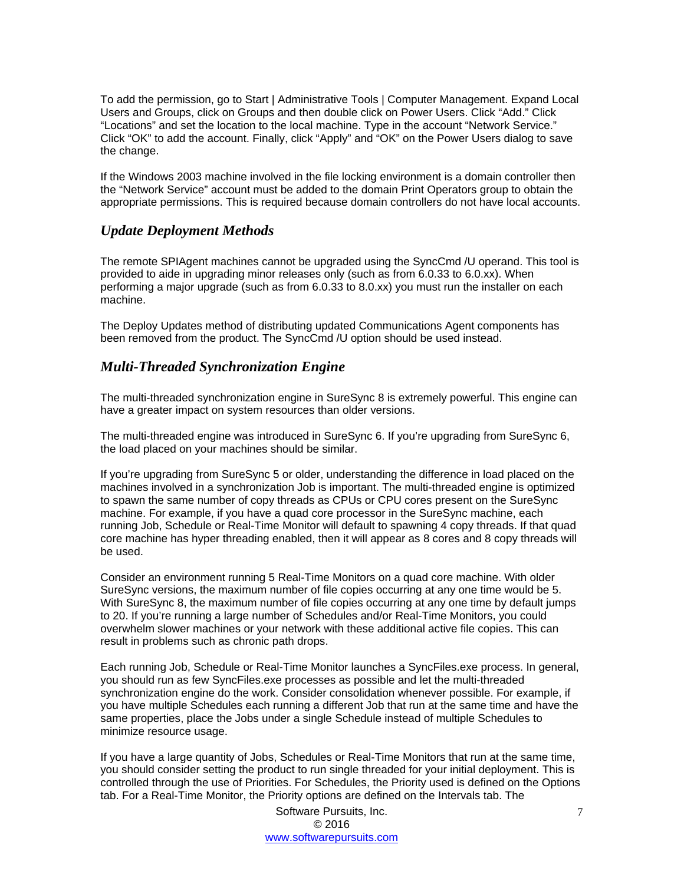To add the permission, go to Start | Administrative Tools | Computer Management. Expand Local Users and Groups, click on Groups and then double click on Power Users. Click "Add." Click "Locations" and set the location to the local machine. Type in the account "Network Service." Click "OK" to add the account. Finally, click "Apply" and "OK" on the Power Users dialog to save the change.

If the Windows 2003 machine involved in the file locking environment is a domain controller then the "Network Service" account must be added to the domain Print Operators group to obtain the appropriate permissions. This is required because domain controllers do not have local accounts.

## <span id="page-7-0"></span>*Update Deployment Methods*

The remote SPIAgent machines cannot be upgraded using the SyncCmd /U operand. This tool is provided to aide in upgrading minor releases only (such as from 6.0.33 to 6.0.xx). When performing a major upgrade (such as from 6.0.33 to 8.0.xx) you must run the installer on each machine.

The Deploy Updates method of distributing updated Communications Agent components has been removed from the product. The SyncCmd /U option should be used instead.

### <span id="page-7-1"></span>*Multi-Threaded Synchronization Engine*

The multi-threaded synchronization engine in SureSync 8 is extremely powerful. This engine can have a greater impact on system resources than older versions.

The multi-threaded engine was introduced in SureSync 6. If you're upgrading from SureSync 6, the load placed on your machines should be similar.

If you're upgrading from SureSync 5 or older, understanding the difference in load placed on the machines involved in a synchronization Job is important. The multi-threaded engine is optimized to spawn the same number of copy threads as CPUs or CPU cores present on the SureSync machine. For example, if you have a quad core processor in the SureSync machine, each running Job, Schedule or Real-Time Monitor will default to spawning 4 copy threads. If that quad core machine has hyper threading enabled, then it will appear as 8 cores and 8 copy threads will be used.

Consider an environment running 5 Real-Time Monitors on a quad core machine. With older SureSync versions, the maximum number of file copies occurring at any one time would be 5. With SureSync 8, the maximum number of file copies occurring at any one time by default jumps to 20. If you're running a large number of Schedules and/or Real-Time Monitors, you could overwhelm slower machines or your network with these additional active file copies. This can result in problems such as chronic path drops.

Each running Job, Schedule or Real-Time Monitor launches a SyncFiles.exe process. In general, you should run as few SyncFiles.exe processes as possible and let the multi-threaded synchronization engine do the work. Consider consolidation whenever possible. For example, if you have multiple Schedules each running a different Job that run at the same time and have the same properties, place the Jobs under a single Schedule instead of multiple Schedules to minimize resource usage.

If you have a large quantity of Jobs, Schedules or Real-Time Monitors that run at the same time, you should consider setting the product to run single threaded for your initial deployment. This is controlled through the use of Priorities. For Schedules, the Priority used is defined on the Options tab. For a Real-Time Monitor, the Priority options are defined on the Intervals tab. The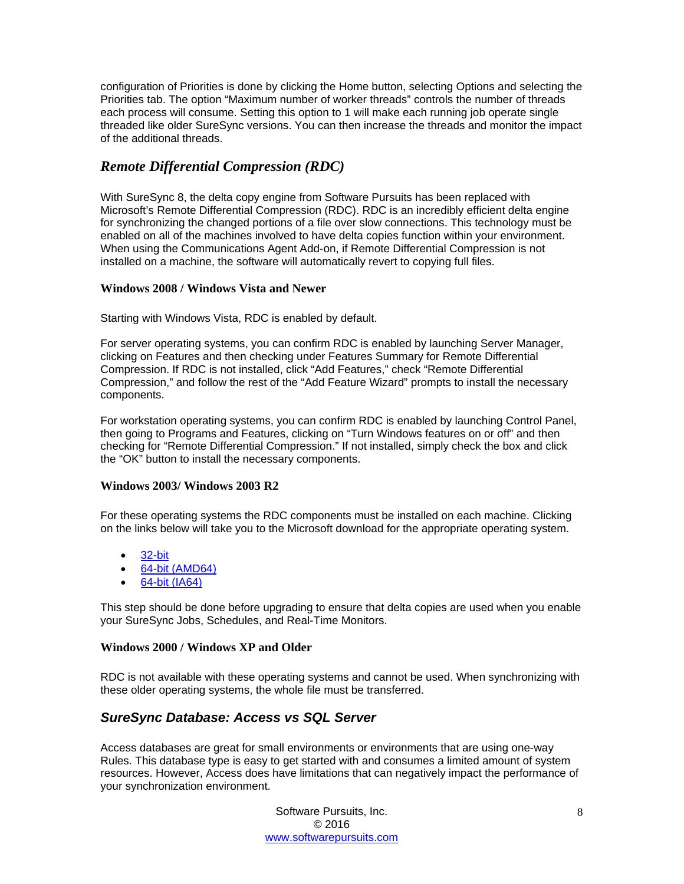configuration of Priorities is done by clicking the Home button, selecting Options and selecting the Priorities tab. The option "Maximum number of worker threads" controls the number of threads each process will consume. Setting this option to 1 will make each running job operate single threaded like older SureSync versions. You can then increase the threads and monitor the impact of the additional threads.

## <span id="page-8-0"></span>*Remote Differential Compression (RDC)*

With SureSync 8, the delta copy engine from Software Pursuits has been replaced with Microsoft's Remote Differential Compression (RDC). RDC is an incredibly efficient delta engine for synchronizing the changed portions of a file over slow connections. This technology must be enabled on all of the machines involved to have delta copies function within your environment. When using the Communications Agent Add-on, if Remote Differential Compression is not installed on a machine, the software will automatically revert to copying full files.

#### <span id="page-8-1"></span>**Windows 2008 / Windows Vista and Newer**

Starting with Windows Vista, RDC is enabled by default.

For server operating systems, you can confirm RDC is enabled by launching Server Manager, clicking on Features and then checking under Features Summary for Remote Differential Compression. If RDC is not installed, click "Add Features," check "Remote Differential Compression," and follow the rest of the "Add Feature Wizard" prompts to install the necessary components.

For workstation operating systems, you can confirm RDC is enabled by launching Control Panel, then going to Programs and Features, clicking on "Turn Windows features on or off" and then checking for "Remote Differential Compression." If not installed, simply check the box and click the "OK" button to install the necessary components.

#### <span id="page-8-2"></span>**Windows 2003/ Windows 2003 R2**

For these operating systems the RDC components must be installed on each machine. Clicking on the links below will take you to the Microsoft download for the appropriate operating system.

- [32-bit](http://download.microsoft.com/download/e/e/0/ee02f60b-c002-47f7-a92b-8d7a58561cd9/X86FRE/msrdcoob.exe)
- [64-bit \(AMD64\)](http://download.microsoft.com/download/e/e/0/ee02f60b-c002-47f7-a92b-8d7a58561cd9/AMD64FRE/msrdcoob.exe)
- [64-bit \(IA64\)](http://download.microsoft.com/download/e/e/0/ee02f60b-c002-47f7-a92b-8d7a58561cd9/IA64FRE/msrdcoob.exe)

This step should be done before upgrading to ensure that delta copies are used when you enable your SureSync Jobs, Schedules, and Real-Time Monitors.

#### <span id="page-8-3"></span>**Windows 2000 / Windows XP and Older**

RDC is not available with these operating systems and cannot be used. When synchronizing with these older operating systems, the whole file must be transferred.

## <span id="page-8-4"></span>*SureSync Database: Access vs SQL Server*

Access databases are great for small environments or environments that are using one-way Rules. This database type is easy to get started with and consumes a limited amount of system resources. However, Access does have limitations that can negatively impact the performance of your synchronization environment.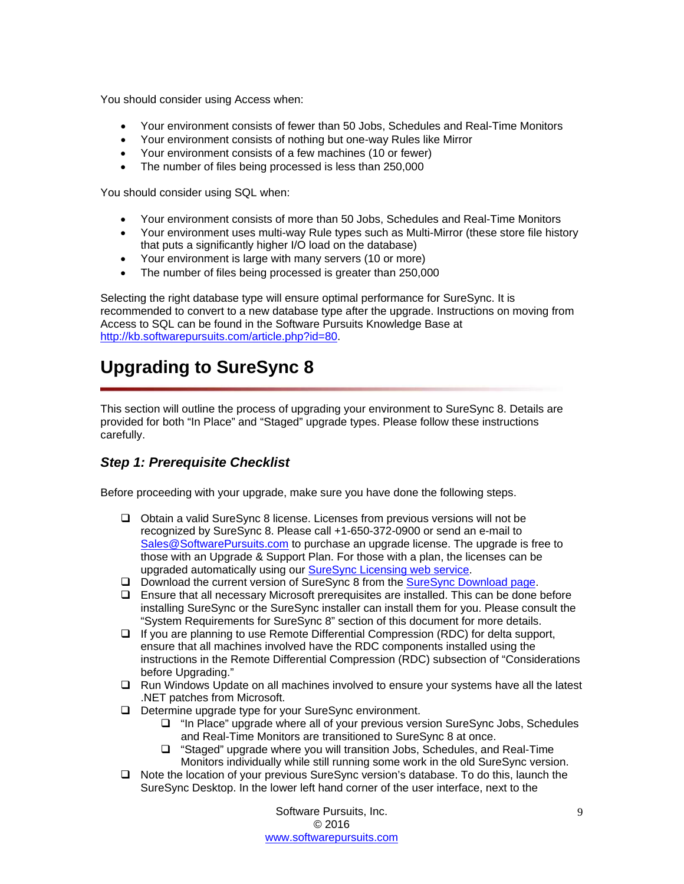You should consider using Access when:

- Your environment consists of fewer than 50 Jobs, Schedules and Real-Time Monitors
- Your environment consists of nothing but one-way Rules like Mirror
- Your environment consists of a few machines (10 or fewer)
- The number of files being processed is less than 250,000

You should consider using SQL when:

- Your environment consists of more than 50 Jobs, Schedules and Real-Time Monitors
- Your environment uses multi-way Rule types such as Multi-Mirror (these store file history that puts a significantly higher I/O load on the database)
- Your environment is large with many servers (10 or more)
- The number of files being processed is greater than 250,000

Selecting the right database type will ensure optimal performance for SureSync. It is recommended to convert to a new database type after the upgrade. Instructions on moving from Access to SQL can be found in the Software Pursuits Knowledge Base at [http://kb.softwarepursuits.com/article.php?id=80.](http://kb.softwarepursuits.com/article.php?id=80)

## <span id="page-9-0"></span>**Upgrading to SureSync 8**

This section will outline the process of upgrading your environment to SureSync 8. Details are provided for both "In Place" and "Staged" upgrade types. Please follow these instructions carefully.

## <span id="page-9-1"></span>*Step 1: Prerequisite Checklist*

Before proceeding with your upgrade, make sure you have done the following steps.

- Obtain a valid SureSync 8 license. Licenses from previous versions will not be recognized by SureSync 8. Please call +1-650-372-0900 or send an e-mail to [Sales@SoftwarePursuits.com](mailto:Sales@SoftwarePursuits.com) to purchase an upgrade license. The upgrade is free to those with an Upgrade & Support Plan. For those with a plan, the licenses can be upgraded automatically using our [SureSync Licensing web service.](http://spilicenseweb.softwarepursuits.com/upgrade/upgrade.aspx)
- □ Download the current version of SureSync 8 from the [SureSync Download page.](http://www.softwarepursuits.com/suresync/download.asp)
- $\Box$  Ensure that all necessary Microsoft prerequisites are installed. This can be done before installing SureSync or the SureSync installer can install them for you. Please consult the "System Requirements for SureSync 8" section of this document for more details.
- $\Box$  If you are planning to use Remote Differential Compression (RDC) for delta support, ensure that all machines involved have the RDC components installed using the instructions in the Remote Differential Compression (RDC) subsection of "Considerations before Upgrading."
- $\Box$  Run Windows Update on all machines involved to ensure your systems have all the latest .NET patches from Microsoft.
- D Determine upgrade type for your SureSync environment.
	- "In Place" upgrade where all of your previous version SureSync Jobs, Schedules and Real-Time Monitors are transitioned to SureSync 8 at once.
	- □ "Staged" upgrade where you will transition Jobs, Schedules, and Real-Time Monitors individually while still running some work in the old SureSync version.
- □ Note the location of your previous SureSync version's database. To do this, launch the SureSync Desktop. In the lower left hand corner of the user interface, next to the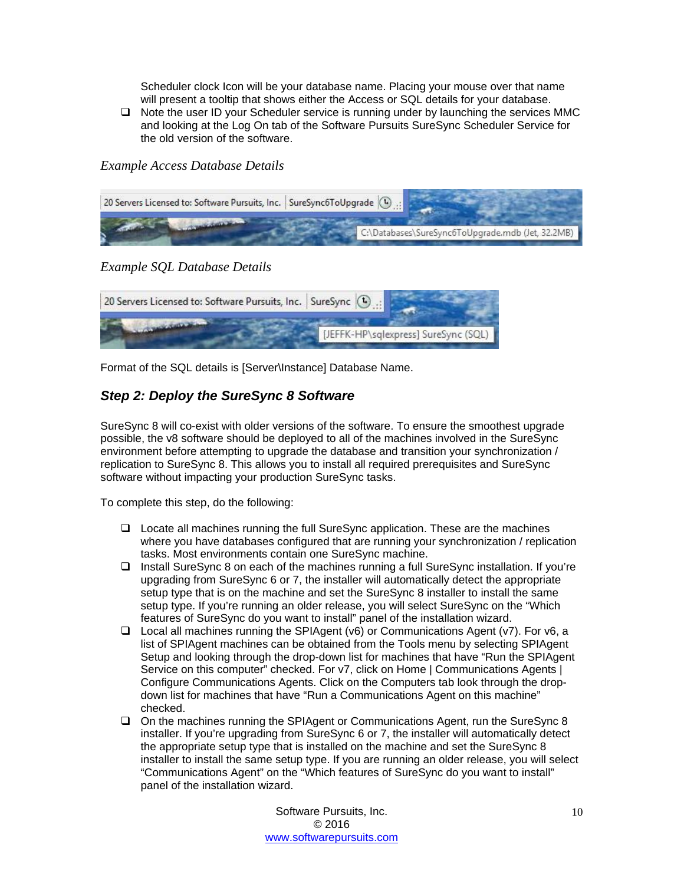Scheduler clock Icon will be your database name. Placing your mouse over that name will present a tooltip that shows either the Access or SQL details for your database.

 $\Box$  Note the user ID your Scheduler service is running under by launching the services MMC and looking at the Log On tab of the Software Pursuits SureSync Scheduler Service for the old version of the software.

<span id="page-10-0"></span>*Example Access Database Details*

| 20 Servers Licensed to: Software Pursuits, Inc.   SureSync6ToUpgrade   (V) |                                                   |
|----------------------------------------------------------------------------|---------------------------------------------------|
| <b>CONTRACTOR</b> CONTRACTOR                                               | C:\Databases\SureSync6ToUpgrade.mdb (Jet, 32.2MB) |

<span id="page-10-1"></span>*Example SQL Database Details* 

| 20 Servers Licensed to: Software Pursuits, Inc.   SureSync (4). |                                      |
|-----------------------------------------------------------------|--------------------------------------|
|                                                                 | [JEFFK-HP\sqlexpress] SureSync (SQL) |

<span id="page-10-2"></span>Format of the SQL details is [Server\Instance] Database Name.

## *Step 2: Deploy the SureSync 8 Software*

SureSync 8 will co-exist with older versions of the software. To ensure the smoothest upgrade possible, the v8 software should be deployed to all of the machines involved in the SureSync environment before attempting to upgrade the database and transition your synchronization / replication to SureSync 8. This allows you to install all required prerequisites and SureSync software without impacting your production SureSync tasks.

To complete this step, do the following:

- Locate all machines running the full SureSync application. These are the machines where you have databases configured that are running your synchronization / replication tasks. Most environments contain one SureSync machine.
- Install SureSync 8 on each of the machines running a full SureSync installation. If you're upgrading from SureSync 6 or 7, the installer will automatically detect the appropriate setup type that is on the machine and set the SureSync 8 installer to install the same setup type. If you're running an older release, you will select SureSync on the "Which features of SureSync do you want to install" panel of the installation wizard.
- $\Box$  Local all machines running the SPIAgent (v6) or Communications Agent (v7). For v6, a list of SPIAgent machines can be obtained from the Tools menu by selecting SPIAgent Setup and looking through the drop-down list for machines that have "Run the SPIAgent Service on this computer" checked. For v7, click on Home | Communications Agents | Configure Communications Agents. Click on the Computers tab look through the dropdown list for machines that have "Run a Communications Agent on this machine" checked.
- On the machines running the SPIAgent or Communications Agent, run the SureSync 8 installer. If you're upgrading from SureSync 6 or 7, the installer will automatically detect the appropriate setup type that is installed on the machine and set the SureSync 8 installer to install the same setup type. If you are running an older release, you will select "Communications Agent" on the "Which features of SureSync do you want to install" panel of the installation wizard.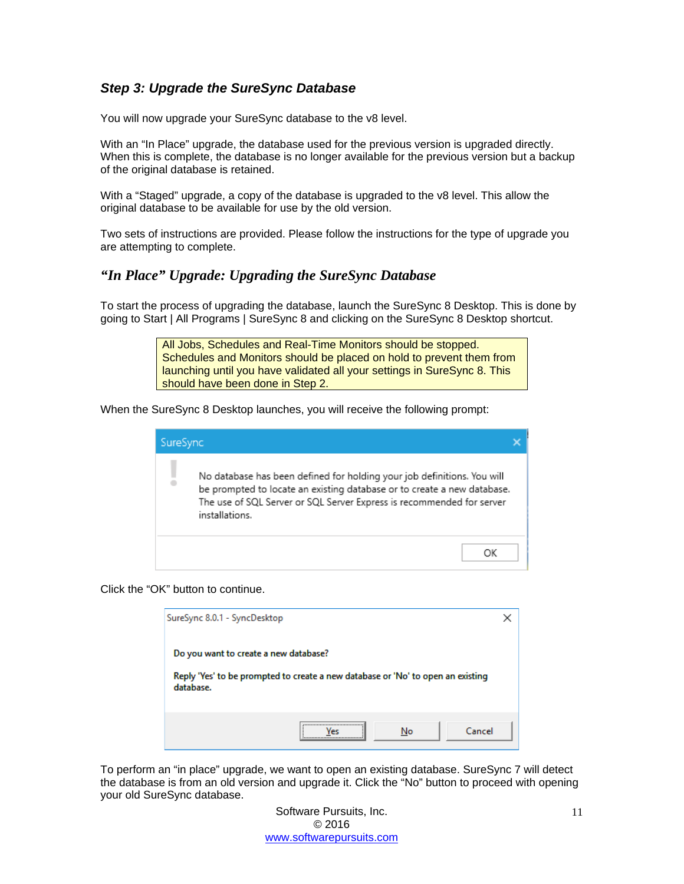## <span id="page-11-0"></span>*Step 3: Upgrade the SureSync Database*

You will now upgrade your SureSync database to the v8 level.

With an "In Place" upgrade, the database used for the previous version is upgraded directly. When this is complete, the database is no longer available for the previous version but a backup of the original database is retained.

With a "Staged" upgrade, a copy of the database is upgraded to the v8 level. This allow the original database to be available for use by the old version.

Two sets of instructions are provided. Please follow the instructions for the type of upgrade you are attempting to complete.

### <span id="page-11-1"></span>*"In Place" Upgrade: Upgrading the SureSync Database*

To start the process of upgrading the database, launch the SureSync 8 Desktop. This is done by going to Start | All Programs | SureSync 8 and clicking on the SureSync 8 Desktop shortcut.

> All Jobs, Schedules and Real-Time Monitors should be stopped. Schedules and Monitors should be placed on hold to prevent them from launching until you have validated all your settings in SureSync 8. This should have been done in Step 2.

When the SureSync 8 Desktop launches, you will receive the following prompt:

| SureSync |                                                                                                                                                                                                                                               |  |
|----------|-----------------------------------------------------------------------------------------------------------------------------------------------------------------------------------------------------------------------------------------------|--|
|          | No database has been defined for holding your job definitions. You will<br>be prompted to locate an existing database or to create a new database.<br>The use of SQL Server or SQL Server Express is recommended for server<br>installations. |  |
|          | ΩK                                                                                                                                                                                                                                            |  |

Click the "OK" button to continue.

| SureSync 8.0.1 - SyncDesktop                                                                                                          |  |
|---------------------------------------------------------------------------------------------------------------------------------------|--|
| Do you want to create a new database?<br>Reply 'Yes' to be prompted to create a new database or 'No' to open an existing<br>database. |  |
| <br>Cancel<br>No                                                                                                                      |  |

To perform an "in place" upgrade, we want to open an existing database. SureSync 7 will detect the database is from an old version and upgrade it. Click the "No" button to proceed with opening your old SureSync database.

> Software Pursuits, Inc. © 2016 [www.softwarepursuits.com](http://www.softwarepursuits.com/)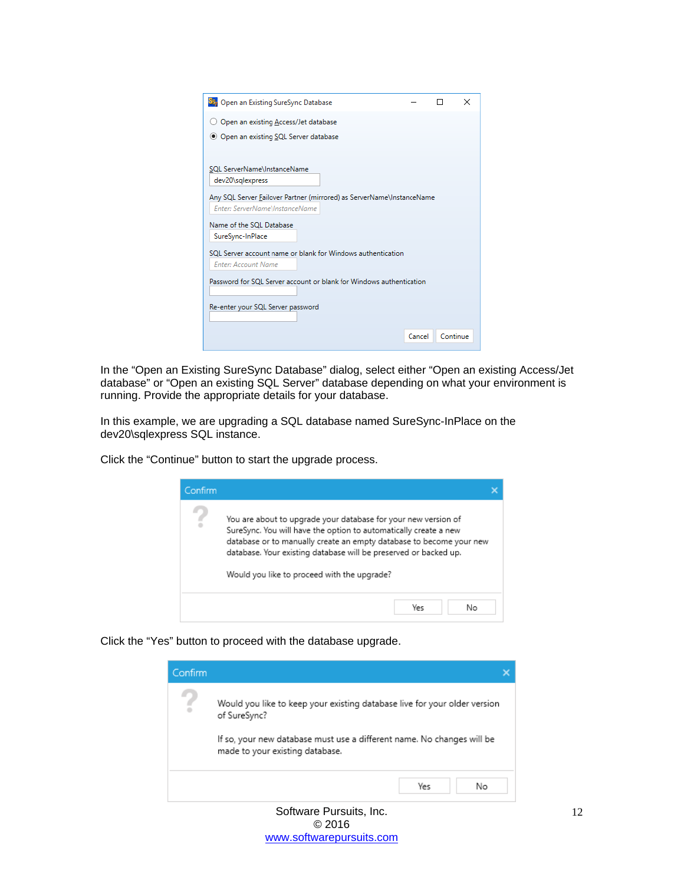

In the "Open an Existing SureSync Database" dialog, select either "Open an existing Access/Jet database" or "Open an existing SQL Server" database depending on what your environment is running. Provide the appropriate details for your database.

In this example, we are upgrading a SQL database named SureSync-InPlace on the dev20\sqlexpress SQL instance.

Click the "Continue" button to start the upgrade process.

| Confirm |                                                                                                                                                                                                                                                                                                                              |  |
|---------|------------------------------------------------------------------------------------------------------------------------------------------------------------------------------------------------------------------------------------------------------------------------------------------------------------------------------|--|
|         | You are about to upgrade your database for your new version of<br>SureSync. You will have the option to automatically create a new<br>database or to manually create an empty database to become your new<br>database. Your existing database will be preserved or backed up.<br>Would you like to proceed with the upgrade? |  |
|         | Yes<br>Nο                                                                                                                                                                                                                                                                                                                    |  |

Click the "Yes" button to proceed with the database upgrade.

| Confirm |                                                                                                           |  |
|---------|-----------------------------------------------------------------------------------------------------------|--|
|         | Would you like to keep your existing database live for your older version<br>of SureSync?                 |  |
|         | If so, your new database must use a different name. No changes will be<br>made to your existing database. |  |
|         | Yes<br>No                                                                                                 |  |
|         | Software Pursuits, Inc.                                                                                   |  |

© 2016 [www.softwarepursuits.com](http://www.softwarepursuits.com/)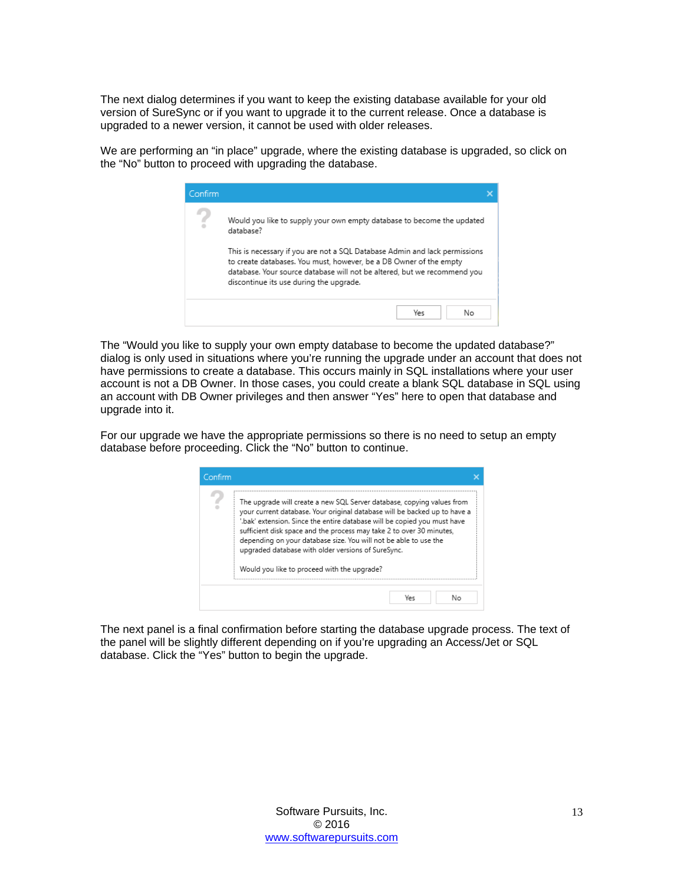The next dialog determines if you want to keep the existing database available for your old version of SureSync or if you want to upgrade it to the current release. Once a database is upgraded to a newer version, it cannot be used with older releases.

We are performing an "in place" upgrade, where the existing database is upgraded, so click on the "No" button to proceed with upgrading the database.



The "Would you like to supply your own empty database to become the updated database?" dialog is only used in situations where you're running the upgrade under an account that does not have permissions to create a database. This occurs mainly in SQL installations where your user account is not a DB Owner. In those cases, you could create a blank SQL database in SQL using an account with DB Owner privileges and then answer "Yes" here to open that database and upgrade into it.

For our upgrade we have the appropriate permissions so there is no need to setup an empty database before proceeding. Click the "No" button to continue.



The next panel is a final confirmation before starting the database upgrade process. The text of the panel will be slightly different depending on if you're upgrading an Access/Jet or SQL database. Click the "Yes" button to begin the upgrade.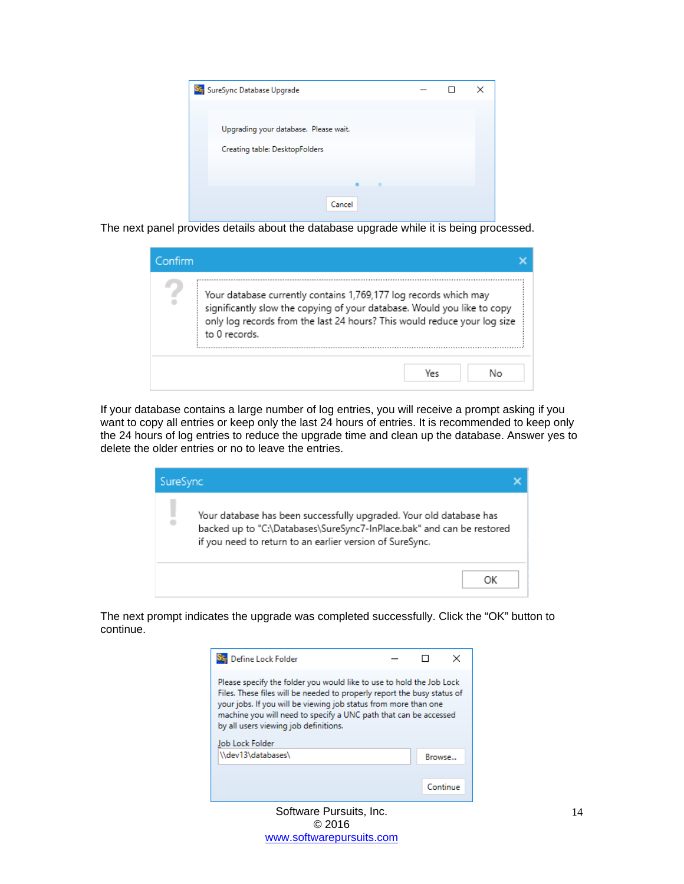

The next panel provides details about the database upgrade while it is being processed.

| Confirm |                                                                                                                                                                                                                                          |  |
|---------|------------------------------------------------------------------------------------------------------------------------------------------------------------------------------------------------------------------------------------------|--|
| ÷       | Your database currently contains 1,769,177 log records which may<br>significantly slow the copying of your database. Would you like to copy<br>only log records from the last 24 hours? This would reduce your log size<br>to 0 records. |  |
|         | Nο<br>Ve∈                                                                                                                                                                                                                                |  |

If your database contains a large number of log entries, you will receive a prompt asking if you want to copy all entries or keep only the last 24 hours of entries. It is recommended to keep only the 24 hours of log entries to reduce the upgrade time and clean up the database. Answer yes to delete the older entries or no to leave the entries.



The next prompt indicates the upgrade was completed successfully. Click the "OK" button to continue.

| Define Lock Folder                                                                                                                                                                                                                                                                                                                                 |        | ×        |
|----------------------------------------------------------------------------------------------------------------------------------------------------------------------------------------------------------------------------------------------------------------------------------------------------------------------------------------------------|--------|----------|
| Please specify the folder you would like to use to hold the Job Lock<br>Files. These files will be needed to properly report the busy status of<br>your jobs. If you will be viewing job status from more than one<br>machine you will need to specify a UNC path that can be accessed<br>by all users viewing job definitions.<br>Job Lock Folder |        |          |
| \\dev13\databases\                                                                                                                                                                                                                                                                                                                                 | Browse |          |
|                                                                                                                                                                                                                                                                                                                                                    |        | Continue |

Software Pursuits, Inc. © 2016 [www.softwarepursuits.com](http://www.softwarepursuits.com/)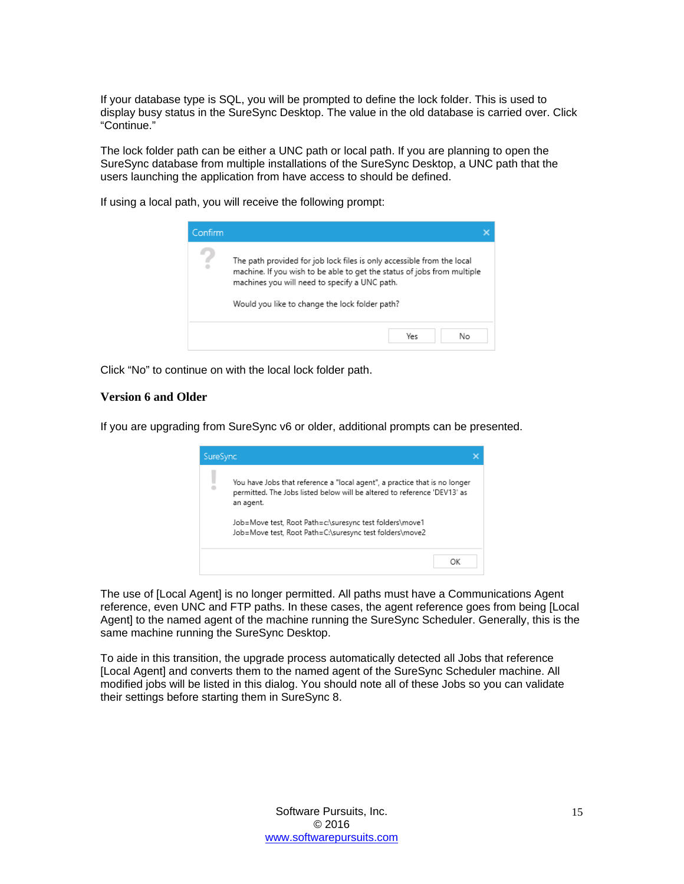If your database type is SQL, you will be prompted to define the lock folder. This is used to display busy status in the SureSync Desktop. The value in the old database is carried over. Click "Continue."

The lock folder path can be either a UNC path or local path. If you are planning to open the SureSync database from multiple installations of the SureSync Desktop, a UNC path that the users launching the application from have access to should be defined.

If using a local path, you will receive the following prompt:



<span id="page-15-0"></span>Click "No" to continue on with the local lock folder path.

#### **Version 6 and Older**

If you are upgrading from SureSync v6 or older, additional prompts can be presented.



The use of [Local Agent] is no longer permitted. All paths must have a Communications Agent reference, even UNC and FTP paths. In these cases, the agent reference goes from being [Local Agent] to the named agent of the machine running the SureSync Scheduler. Generally, this is the same machine running the SureSync Desktop.

To aide in this transition, the upgrade process automatically detected all Jobs that reference [Local Agent] and converts them to the named agent of the SureSync Scheduler machine. All modified jobs will be listed in this dialog. You should note all of these Jobs so you can validate their settings before starting them in SureSync 8.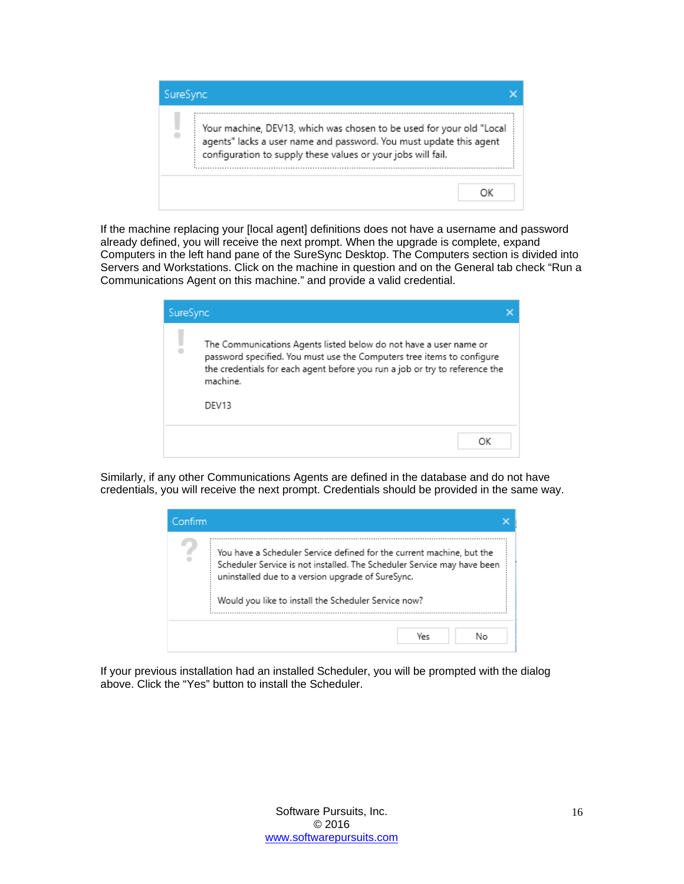

If the machine replacing your [local agent] definitions does not have a username and password already defined, you will receive the next prompt. When the upgrade is complete, expand Computers in the left hand pane of the SureSync Desktop. The Computers section is divided into Servers and Workstations. Click on the machine in question and on the General tab check "Run a Communications Agent on this machine." and provide a valid credential.

| SureSync |                                                                                                                                                                                                                                                 |  |
|----------|-------------------------------------------------------------------------------------------------------------------------------------------------------------------------------------------------------------------------------------------------|--|
|          | The Communications Agents listed below do not have a user name or<br>password specified. You must use the Computers tree items to configure<br>the credentials for each agent before you run a job or try to reference the<br>machine.<br>DFV13 |  |
|          |                                                                                                                                                                                                                                                 |  |

Similarly, if any other Communications Agents are defined in the database and do not have credentials, you will receive the next prompt. Credentials should be provided in the same way.



If your previous installation had an installed Scheduler, you will be prompted with the dialog above. Click the "Yes" button to install the Scheduler.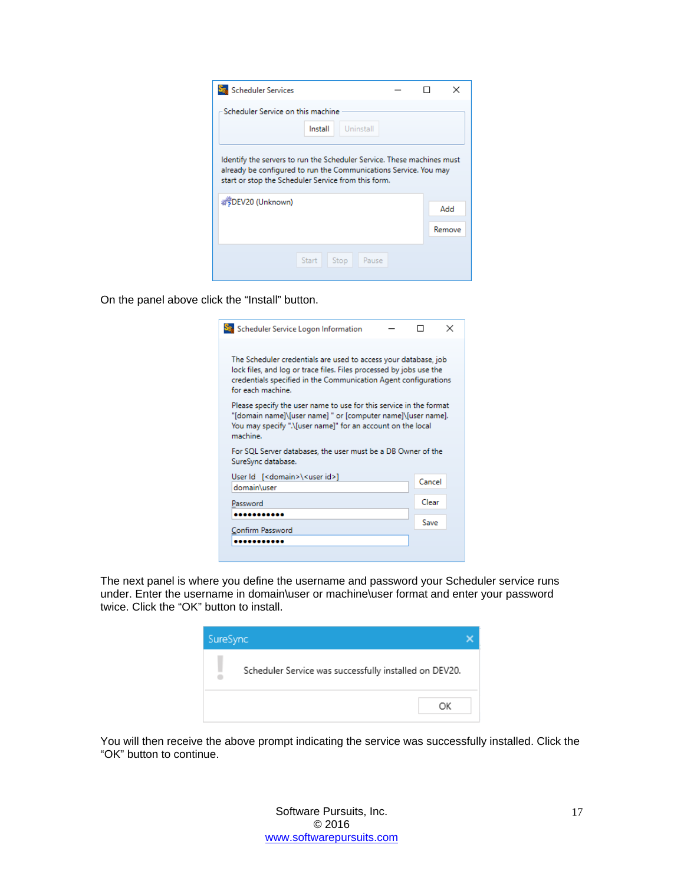| <b>Scheduler Services</b>                                                                                                                                                                         |  |  |        |  |  |  |
|---------------------------------------------------------------------------------------------------------------------------------------------------------------------------------------------------|--|--|--------|--|--|--|
| Scheduler Service on this machine<br>Install<br>Uninstall                                                                                                                                         |  |  |        |  |  |  |
| Identify the servers to run the Scheduler Service. These machines must<br>already be configured to run the Communications Service. You may<br>start or stop the Scheduler Service from this form. |  |  |        |  |  |  |
| #5DEV20 (Unknown)                                                                                                                                                                                 |  |  | Add    |  |  |  |
|                                                                                                                                                                                                   |  |  | Remove |  |  |  |
| Start<br>Stop<br>Pause                                                                                                                                                                            |  |  |        |  |  |  |

On the panel above click the "Install" button.

| Sa Scheduler Service Logon Information                                                                                                                                                                                         |        | × |
|--------------------------------------------------------------------------------------------------------------------------------------------------------------------------------------------------------------------------------|--------|---|
| The Scheduler credentials are used to access your database, job<br>lock files, and log or trace files. Files processed by jobs use the<br>credentials specified in the Communication Agent configurations<br>for each machine. |        |   |
| Please specify the user name to use for this service in the format<br>"[domain name]\[user name] " or [computer name]\[user name].<br>You may specify ".\[user name]" for an account on the local<br>machine.                  |        |   |
| For SQL Server databases, the user must be a DB Owner of the<br>SureSync database.                                                                                                                                             |        |   |
| User Id [ <domain>\<user id="">]<br/>domain\user</user></domain>                                                                                                                                                               | Cancel |   |
| Password                                                                                                                                                                                                                       | Clear  |   |
|                                                                                                                                                                                                                                | Save   |   |
| Confirm Password                                                                                                                                                                                                               |        |   |
|                                                                                                                                                                                                                                |        |   |

The next panel is where you define the username and password your Scheduler service runs under. Enter the username in domain\user or machine\user format and enter your password twice. Click the "OK" button to install.

| SureSync |                                                        |    |
|----------|--------------------------------------------------------|----|
|          | Scheduler Service was successfully installed on DEV20. |    |
|          |                                                        | ОΚ |

You will then receive the above prompt indicating the service was successfully installed. Click the "OK" button to continue.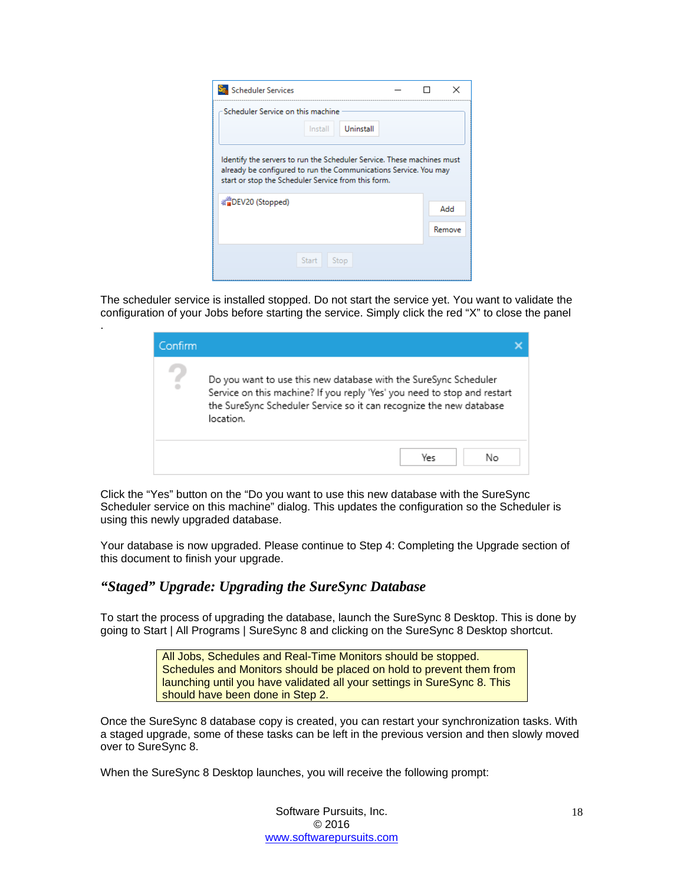| <b>Scheduler Services</b>                                                                                                                                                                         |  | ×      |  |  |
|---------------------------------------------------------------------------------------------------------------------------------------------------------------------------------------------------|--|--------|--|--|
| Scheduler Service on this machine                                                                                                                                                                 |  |        |  |  |
| Uninstall<br>Install                                                                                                                                                                              |  |        |  |  |
| Identify the servers to run the Scheduler Service. These machines must<br>already be configured to run the Communications Service. You may<br>start or stop the Scheduler Service from this form. |  |        |  |  |
| ※■DEV20 (Stopped)                                                                                                                                                                                 |  | Add    |  |  |
|                                                                                                                                                                                                   |  | Remove |  |  |
| <b>Start</b><br>Stop                                                                                                                                                                              |  |        |  |  |
|                                                                                                                                                                                                   |  |        |  |  |

The scheduler service is installed stopped. Do not start the service yet. You want to validate the configuration of your Jobs before starting the service. Simply click the red "X" to close the panel

| Confirm |                                                                                                                                                                                                                                  |
|---------|----------------------------------------------------------------------------------------------------------------------------------------------------------------------------------------------------------------------------------|
| £       | Do you want to use this new database with the SureSync Scheduler<br>Service on this machine? If you reply 'Yes' you need to stop and restart<br>the SureSync Scheduler Service so it can recognize the new database<br>location. |
|         | Yes<br>Nο                                                                                                                                                                                                                        |

Click the "Yes" button on the "Do you want to use this new database with the SureSync Scheduler service on this machine" dialog. This updates the configuration so the Scheduler is using this newly upgraded database.

Your database is now upgraded. Please continue to Step 4: Completing the Upgrade section of this document to finish your upgrade.

## <span id="page-18-0"></span>*"Staged" Upgrade: Upgrading the SureSync Database*

.

To start the process of upgrading the database, launch the SureSync 8 Desktop. This is done by going to Start | All Programs | SureSync 8 and clicking on the SureSync 8 Desktop shortcut.

> All Jobs, Schedules and Real-Time Monitors should be stopped. Schedules and Monitors should be placed on hold to prevent them from launching until you have validated all your settings in SureSync 8. This should have been done in Step 2.

Once the SureSync 8 database copy is created, you can restart your synchronization tasks. With a staged upgrade, some of these tasks can be left in the previous version and then slowly moved over to SureSync 8.

When the SureSync 8 Desktop launches, you will receive the following prompt: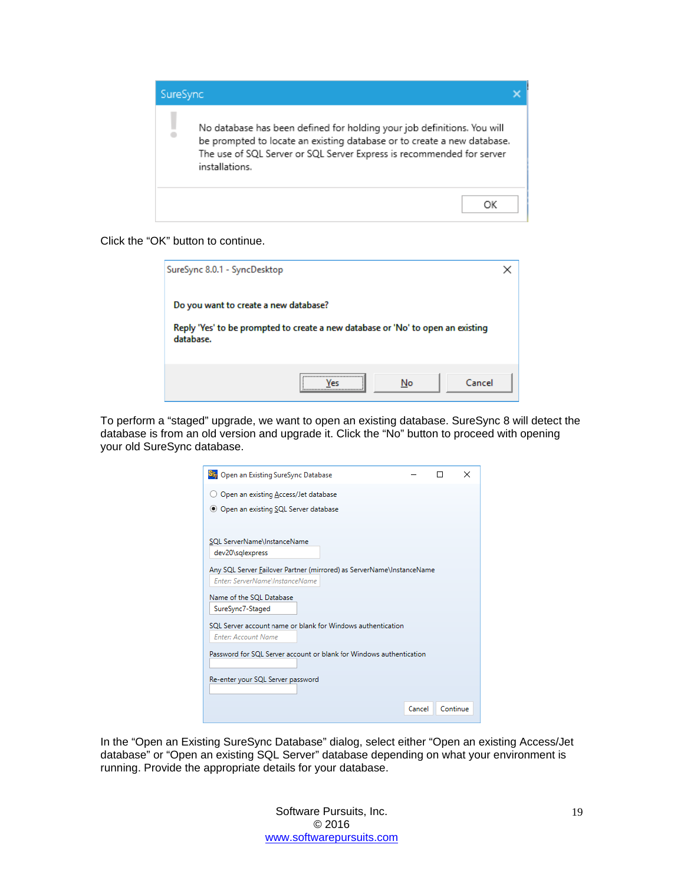

#### Click the "OK" button to continue.

| SureSync 8.0.1 - SyncDesktop                                                                                                          |         |    |        |  |
|---------------------------------------------------------------------------------------------------------------------------------------|---------|----|--------|--|
| Do you want to create a new database?<br>Reply 'Yes' to be prompted to create a new database or 'No' to open an existing<br>database. |         |    |        |  |
|                                                                                                                                       | <br>Vec | No | Cancel |  |

To perform a "staged" upgrade, we want to open an existing database. SureSync 8 will detect the database is from an old version and upgrade it. Click the "No" button to proceed with opening your old SureSync database.

| Sty Open an Existing SureSync Database                                                                                                                                                                                 |        |          | × |
|------------------------------------------------------------------------------------------------------------------------------------------------------------------------------------------------------------------------|--------|----------|---|
| Open an existing Access/Jet database                                                                                                                                                                                   |        |          |   |
| ● Open an existing SQL Server database                                                                                                                                                                                 |        |          |   |
|                                                                                                                                                                                                                        |        |          |   |
| SQL ServerName\InstanceName                                                                                                                                                                                            |        |          |   |
| dev20\sqlexpress                                                                                                                                                                                                       |        |          |   |
| Any SQL Server Failover Partner (mirrored) as ServerName\InstanceName<br>Enter: ServerName\InstanceName<br>Name of the SOL Database<br>SureSync7-Staged<br>SQL Server account name or blank for Windows authentication |        |          |   |
| <b>Enter: Account Name</b>                                                                                                                                                                                             |        |          |   |
| Password for SOL Server account or blank for Windows authentication<br>Re-enter your SQL Server password                                                                                                               |        |          |   |
|                                                                                                                                                                                                                        | Cancel | Continue |   |

In the "Open an Existing SureSync Database" dialog, select either "Open an existing Access/Jet database" or "Open an existing SQL Server" database depending on what your environment is running. Provide the appropriate details for your database.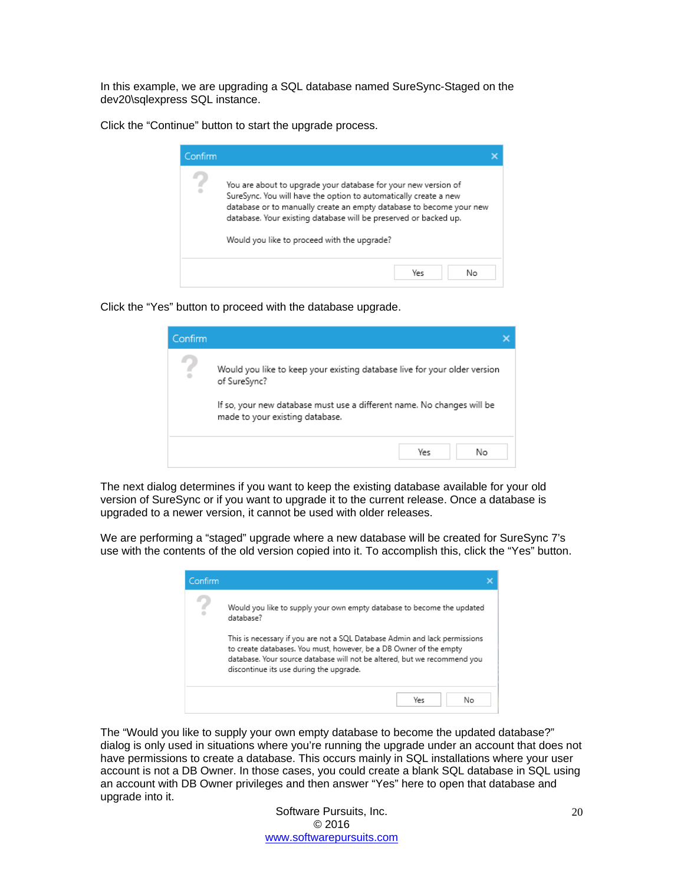In this example, we are upgrading a SQL database named SureSync-Staged on the dev20\sqlexpress SQL instance.

Click the "Continue" button to start the upgrade process.

| Confirm |                                                                                                                                                                                                                                                                                                                              |  |
|---------|------------------------------------------------------------------------------------------------------------------------------------------------------------------------------------------------------------------------------------------------------------------------------------------------------------------------------|--|
| ÷       | You are about to upgrade your database for your new version of<br>SureSync. You will have the option to automatically create a new<br>database or to manually create an empty database to become your new<br>database. Your existing database will be preserved or backed up.<br>Would you like to proceed with the upgrade? |  |
|         | Yes<br>Nο                                                                                                                                                                                                                                                                                                                    |  |

Click the "Yes" button to proceed with the database upgrade.

| Confirm |                                                                                                                                                                                                        |  |
|---------|--------------------------------------------------------------------------------------------------------------------------------------------------------------------------------------------------------|--|
| Ξ       | Would you like to keep your existing database live for your older version<br>of SureSync?<br>If so, your new database must use a different name. No changes will be<br>made to your existing database. |  |
|         | Yes<br>No                                                                                                                                                                                              |  |

The next dialog determines if you want to keep the existing database available for your old version of SureSync or if you want to upgrade it to the current release. Once a database is upgraded to a newer version, it cannot be used with older releases.

We are performing a "staged" upgrade where a new database will be created for SureSync 7's use with the contents of the old version copied into it. To accomplish this, click the "Yes" button.

| Confirm |                                                                                                                                                                                                                                                                         |  |  |  |
|---------|-------------------------------------------------------------------------------------------------------------------------------------------------------------------------------------------------------------------------------------------------------------------------|--|--|--|
|         | Would you like to supply your own empty database to become the updated<br>database?                                                                                                                                                                                     |  |  |  |
|         | This is necessary if you are not a SQL Database Admin and lack permissions<br>to create databases. You must, however, be a DB Owner of the empty<br>database. Your source database will not be altered, but we recommend you<br>discontinue its use during the upgrade. |  |  |  |
|         | Yes<br>Nο                                                                                                                                                                                                                                                               |  |  |  |

The "Would you like to supply your own empty database to become the updated database?" dialog is only used in situations where you're running the upgrade under an account that does not have permissions to create a database. This occurs mainly in SQL installations where your user account is not a DB Owner. In those cases, you could create a blank SQL database in SQL using an account with DB Owner privileges and then answer "Yes" here to open that database and upgrade into it.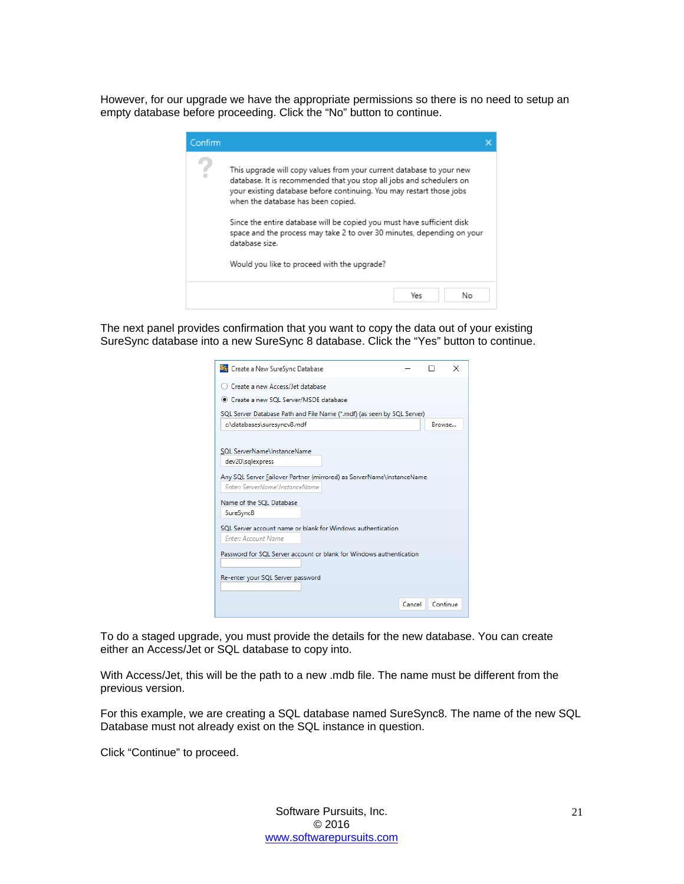However, for our upgrade we have the appropriate permissions so there is no need to setup an empty database before proceeding. Click the "No" button to continue.

| Confirm |                                                                                                                                                                                                                                                                                                                                                                                                                                                                                 |  |
|---------|---------------------------------------------------------------------------------------------------------------------------------------------------------------------------------------------------------------------------------------------------------------------------------------------------------------------------------------------------------------------------------------------------------------------------------------------------------------------------------|--|
|         | This upgrade will copy values from your current database to your new<br>database. It is recommended that you stop all jobs and schedulers on<br>your existing database before continuing. You may restart those jobs<br>when the database has been copied.<br>Since the entire database will be copied you must have sufficient disk<br>space and the process may take 2 to over 30 minutes, depending on your<br>database size.<br>Would you like to proceed with the upgrade? |  |
|         | Yes<br>Nο                                                                                                                                                                                                                                                                                                                                                                                                                                                                       |  |

The next panel provides confirmation that you want to copy the data out of your existing SureSync database into a new SureSync 8 database. Click the "Yes" button to continue.

| Sty Create a New SureSync Database                                     |        | $\times$ |
|------------------------------------------------------------------------|--------|----------|
| Create a new Access/Jet database                                       |        |          |
| Create a new SOL Server/MSDE database                                  |        |          |
| SQL Server Database Path and File Name (*.mdf) (as seen by SQL Server) |        |          |
| c:\databases\suresyncv8.mdf                                            | Browse |          |
|                                                                        |        |          |
| SQL ServerName\InstanceName                                            |        |          |
| dev20\sqlexpress                                                       |        |          |
| Any SQL Server Failover Partner (mirrored) as ServerName\InstanceName  |        |          |
| Enter: ServerName\InstanceName                                         |        |          |
| Name of the SQL Database                                               |        |          |
| SureSync8                                                              |        |          |
| SOL Server account name or blank for Windows authentication            |        |          |
| <b>Enter: Account Name</b>                                             |        |          |
| Password for SQL Server account or blank for Windows authentication    |        |          |
|                                                                        |        |          |
| Re-enter your SQL Server password                                      |        |          |
|                                                                        |        |          |
| Cancel                                                                 |        | Continue |
|                                                                        |        |          |

To do a staged upgrade, you must provide the details for the new database. You can create either an Access/Jet or SQL database to copy into.

With Access/Jet, this will be the path to a new .mdb file. The name must be different from the previous version.

For this example, we are creating a SQL database named SureSync8. The name of the new SQL Database must not already exist on the SQL instance in question.

Click "Continue" to proceed.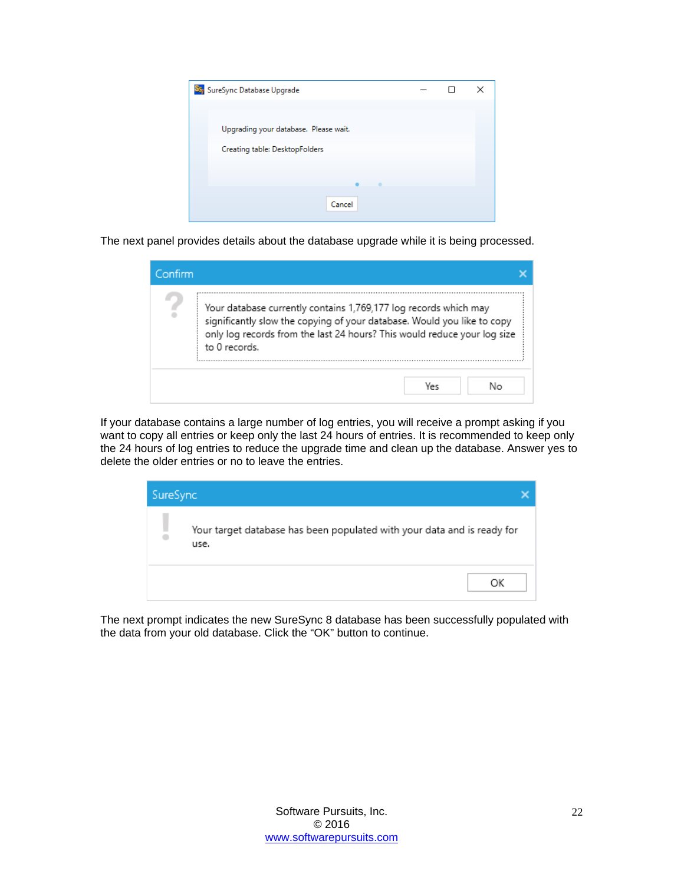| Sty SureSync Database Upgrade         |  | × |
|---------------------------------------|--|---|
|                                       |  |   |
| Upgrading your database. Please wait. |  |   |
| Creating table: DesktopFolders        |  |   |
|                                       |  |   |
|                                       |  |   |
| Cancel                                |  |   |
|                                       |  |   |

The next panel provides details about the database upgrade while it is being processed.

| Confirm |                                                                                                                                                                                                                                          |  |
|---------|------------------------------------------------------------------------------------------------------------------------------------------------------------------------------------------------------------------------------------------|--|
| s       | Your database currently contains 1,769,177 log records which may<br>significantly slow the copying of your database. Would you like to copy<br>only log records from the last 24 hours? This would reduce your log size<br>to 0 records. |  |
|         | No<br>Yes                                                                                                                                                                                                                                |  |

If your database contains a large number of log entries, you will receive a prompt asking if you want to copy all entries or keep only the last 24 hours of entries. It is recommended to keep only the 24 hours of log entries to reduce the upgrade time and clean up the database. Answer yes to delete the older entries or no to leave the entries.

| SureSync |                                                                                 |  |
|----------|---------------------------------------------------------------------------------|--|
|          | Your target database has been populated with your data and is ready for<br>use. |  |
|          | ОK                                                                              |  |

The next prompt indicates the new SureSync 8 database has been successfully populated with the data from your old database. Click the "OK" button to continue.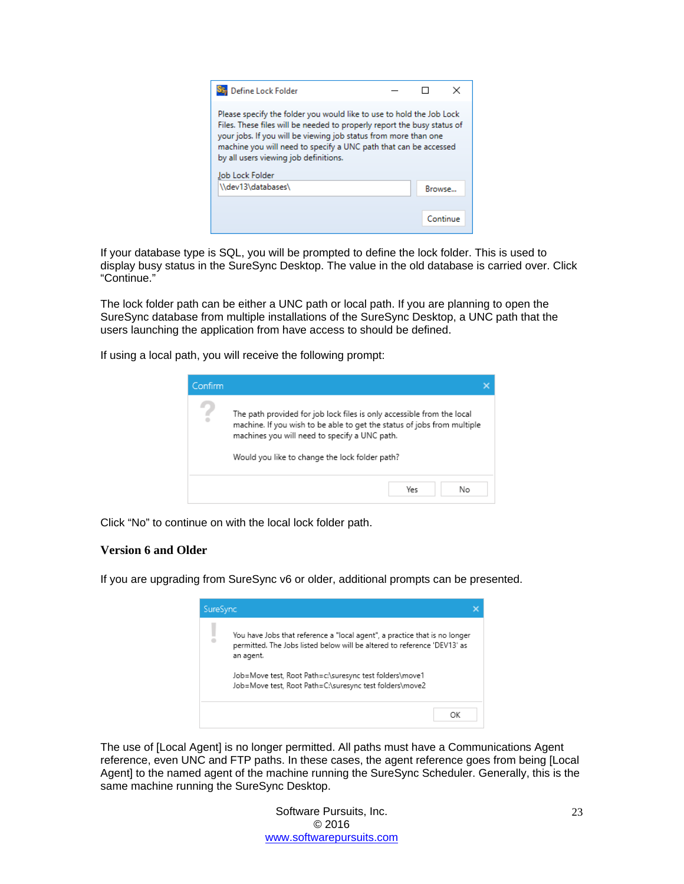| Define Lock Folder                                                                                                                                                                                                                                                                                                              |               |          |
|---------------------------------------------------------------------------------------------------------------------------------------------------------------------------------------------------------------------------------------------------------------------------------------------------------------------------------|---------------|----------|
| Please specify the folder you would like to use to hold the Job Lock<br>Files. These files will be needed to properly report the busy status of<br>your jobs. If you will be viewing job status from more than one<br>machine you will need to specify a UNC path that can be accessed<br>by all users viewing job definitions. |               |          |
| Job Lock Folder                                                                                                                                                                                                                                                                                                                 |               |          |
| \\dev13\databases\                                                                                                                                                                                                                                                                                                              | <b>Browse</b> |          |
|                                                                                                                                                                                                                                                                                                                                 |               |          |
|                                                                                                                                                                                                                                                                                                                                 |               | Continue |

If your database type is SQL, you will be prompted to define the lock folder. This is used to display busy status in the SureSync Desktop. The value in the old database is carried over. Click "Continue."

The lock folder path can be either a UNC path or local path. If you are planning to open the SureSync database from multiple installations of the SureSync Desktop, a UNC path that the users launching the application from have access to should be defined.

If using a local path, you will receive the following prompt:



<span id="page-23-0"></span>Click "No" to continue on with the local lock folder path.

#### **Version 6 and Older**

If you are upgrading from SureSync v6 or older, additional prompts can be presented.



The use of [Local Agent] is no longer permitted. All paths must have a Communications Agent reference, even UNC and FTP paths. In these cases, the agent reference goes from being [Local Agent] to the named agent of the machine running the SureSync Scheduler. Generally, this is the same machine running the SureSync Desktop.

> Software Pursuits, Inc. © 2016 [www.softwarepursuits.com](http://www.softwarepursuits.com/)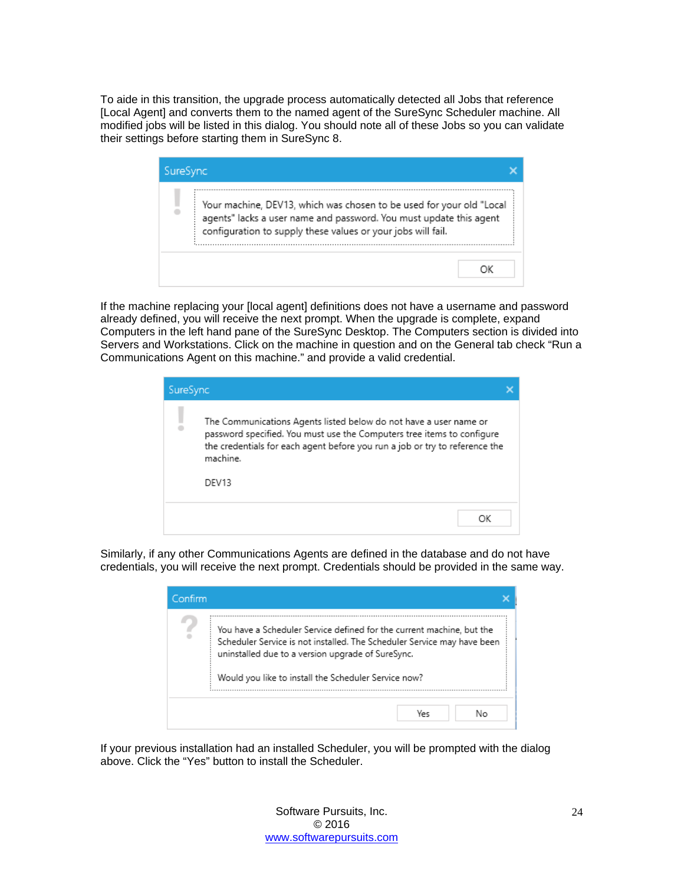To aide in this transition, the upgrade process automatically detected all Jobs that reference [Local Agent] and converts them to the named agent of the SureSync Scheduler machine. All modified jobs will be listed in this dialog. You should note all of these Jobs so you can validate their settings before starting them in SureSync 8.

| SureSync                                                                                                                                                                                                   |  |
|------------------------------------------------------------------------------------------------------------------------------------------------------------------------------------------------------------|--|
| Your machine, DEV13, which was chosen to be used for your old "Local<br>agents" lacks a user name and password. You must update this agent<br>configuration to supply these values or your jobs will fail. |  |
|                                                                                                                                                                                                            |  |

If the machine replacing your [local agent] definitions does not have a username and password already defined, you will receive the next prompt. When the upgrade is complete, expand Computers in the left hand pane of the SureSync Desktop. The Computers section is divided into Servers and Workstations. Click on the machine in question and on the General tab check "Run a Communications Agent on this machine." and provide a valid credential.

| SureSync |                                                                                                                                                                                                                                                 |  |
|----------|-------------------------------------------------------------------------------------------------------------------------------------------------------------------------------------------------------------------------------------------------|--|
|          | The Communications Agents listed below do not have a user name or<br>password specified. You must use the Computers tree items to configure<br>the credentials for each agent before you run a job or try to reference the<br>machine.<br>DFV13 |  |
|          | OΚ                                                                                                                                                                                                                                              |  |

Similarly, if any other Communications Agents are defined in the database and do not have credentials, you will receive the next prompt. Credentials should be provided in the same way.

| Confirm |                                                                                                                                                                                                                                                               |
|---------|---------------------------------------------------------------------------------------------------------------------------------------------------------------------------------------------------------------------------------------------------------------|
| ÷       | You have a Scheduler Service defined for the current machine, but the<br>Scheduler Service is not installed. The Scheduler Service may have been<br>uninstalled due to a version upgrade of SureSync.<br>Would you like to install the Scheduler Service now? |
|         | No<br>Yes                                                                                                                                                                                                                                                     |

If your previous installation had an installed Scheduler, you will be prompted with the dialog above. Click the "Yes" button to install the Scheduler.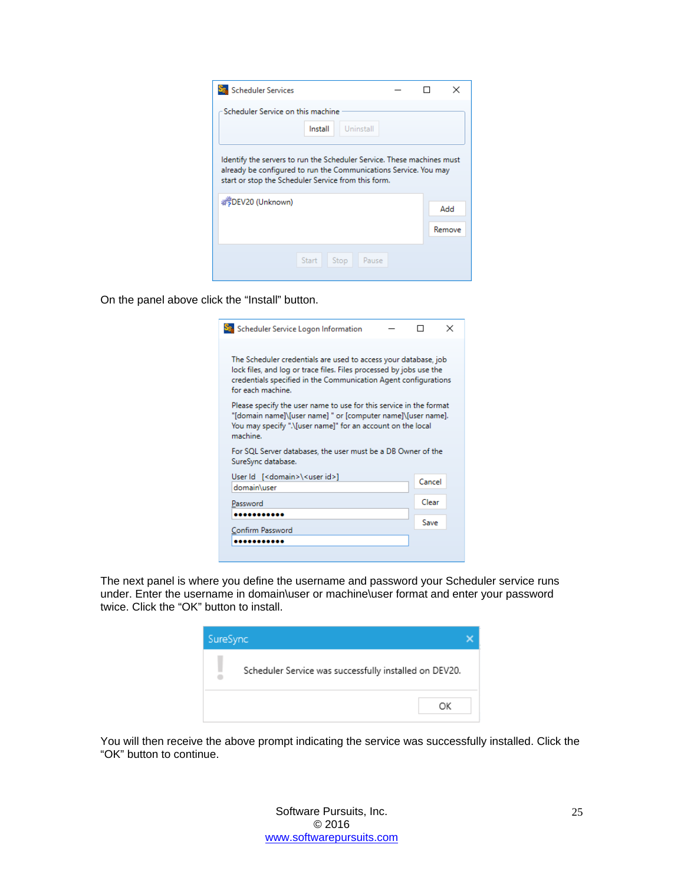| <b>Scheduler Services</b>                                                                                                                                                                         |  |        |
|---------------------------------------------------------------------------------------------------------------------------------------------------------------------------------------------------|--|--------|
| Scheduler Service on this machine<br>Install<br>Uninstall                                                                                                                                         |  |        |
| Identify the servers to run the Scheduler Service. These machines must<br>already be configured to run the Communications Service. You may<br>start or stop the Scheduler Service from this form. |  |        |
| #5DEV20 (Unknown)                                                                                                                                                                                 |  | Add    |
|                                                                                                                                                                                                   |  | Remove |
| Start<br>Stop<br>Pause                                                                                                                                                                            |  |        |

On the panel above click the "Install" button.

| Sa Scheduler Service Logon Information                                                                                                                                                                                         |        | × |
|--------------------------------------------------------------------------------------------------------------------------------------------------------------------------------------------------------------------------------|--------|---|
| The Scheduler credentials are used to access your database, job<br>lock files, and log or trace files. Files processed by jobs use the<br>credentials specified in the Communication Agent configurations<br>for each machine. |        |   |
| Please specify the user name to use for this service in the format<br>"[domain name]\[user name] " or [computer name]\[user name].<br>You may specify ".\[user name]" for an account on the local<br>machine.                  |        |   |
| For SQL Server databases, the user must be a DB Owner of the<br>SureSync database.                                                                                                                                             |        |   |
| User Id [ <domain>\<user id="">]<br/>domain\user</user></domain>                                                                                                                                                               | Cancel |   |
| Password                                                                                                                                                                                                                       | Clear  |   |
|                                                                                                                                                                                                                                | Save   |   |
| Confirm Password                                                                                                                                                                                                               |        |   |
|                                                                                                                                                                                                                                |        |   |

The next panel is where you define the username and password your Scheduler service runs under. Enter the username in domain\user or machine\user format and enter your password twice. Click the "OK" button to install.

| SureSync |                                                        |  |
|----------|--------------------------------------------------------|--|
|          | Scheduler Service was successfully installed on DEV20. |  |
|          | ОΚ                                                     |  |

You will then receive the above prompt indicating the service was successfully installed. Click the "OK" button to continue.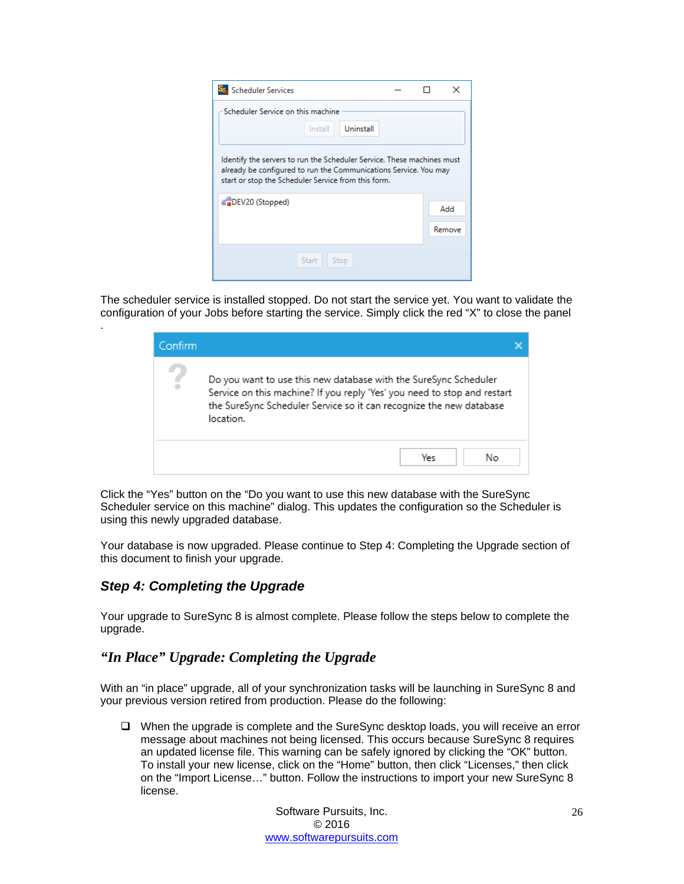| <b>Scheduler Services</b>                                                                                                                                                                         |  | ×      |
|---------------------------------------------------------------------------------------------------------------------------------------------------------------------------------------------------|--|--------|
| Scheduler Service on this machine                                                                                                                                                                 |  |        |
| Uninstall<br>Install                                                                                                                                                                              |  |        |
| Identify the servers to run the Scheduler Service. These machines must<br>already be configured to run the Communications Service. You may<br>start or stop the Scheduler Service from this form. |  |        |
| ※■DEV20 (Stopped)                                                                                                                                                                                 |  | Add    |
|                                                                                                                                                                                                   |  | Remove |
| Start<br>Stop                                                                                                                                                                                     |  |        |
|                                                                                                                                                                                                   |  |        |

The scheduler service is installed stopped. Do not start the service yet. You want to validate the configuration of your Jobs before starting the service. Simply click the red "X" to close the panel

| Confirm |                                                                                                                                                                                                                                  |
|---------|----------------------------------------------------------------------------------------------------------------------------------------------------------------------------------------------------------------------------------|
| £       | Do you want to use this new database with the SureSync Scheduler<br>Service on this machine? If you reply 'Yes' you need to stop and restart<br>the SureSync Scheduler Service so it can recognize the new database<br>location. |
|         | Yes<br>Nο                                                                                                                                                                                                                        |

Click the "Yes" button on the "Do you want to use this new database with the SureSync Scheduler service on this machine" dialog. This updates the configuration so the Scheduler is using this newly upgraded database.

Your database is now upgraded. Please continue to Step 4: Completing the Upgrade section of this document to finish your upgrade.

## <span id="page-26-0"></span>*Step 4: Completing the Upgrade*

.

Your upgrade to SureSync 8 is almost complete. Please follow the steps below to complete the upgrade.

## <span id="page-26-1"></span>*"In Place" Upgrade: Completing the Upgrade*

With an "in place" upgrade, all of your synchronization tasks will be launching in SureSync 8 and your previous version retired from production. Please do the following:

 $\Box$  When the upgrade is complete and the SureSync desktop loads, you will receive an error message about machines not being licensed. This occurs because SureSync 8 requires an updated license file. This warning can be safely ignored by clicking the "OK" button. To install your new license, click on the "Home" button, then click "Licenses," then click on the "Import License…" button. Follow the instructions to import your new SureSync 8 license.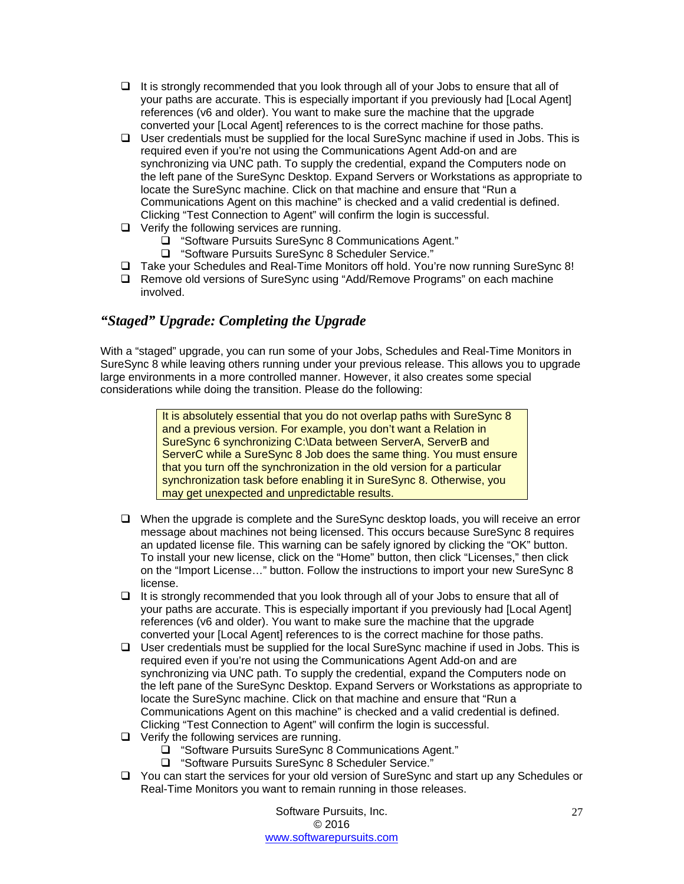- $\Box$  It is strongly recommended that you look through all of your Jobs to ensure that all of your paths are accurate. This is especially important if you previously had [Local Agent] references (v6 and older). You want to make sure the machine that the upgrade converted your [Local Agent] references to is the correct machine for those paths.
- $\Box$  User credentials must be supplied for the local SureSync machine if used in Jobs. This is required even if you're not using the Communications Agent Add-on and are synchronizing via UNC path. To supply the credential, expand the Computers node on the left pane of the SureSync Desktop. Expand Servers or Workstations as appropriate to locate the SureSync machine. Click on that machine and ensure that "Run a Communications Agent on this machine" is checked and a valid credential is defined. Clicking "Test Connection to Agent" will confirm the login is successful.
- $\Box$  Verify the following services are running.
	- "Software Pursuits SureSync 8 Communications Agent."
	- □ "Software Pursuits SureSync 8 Scheduler Service."
- Take your Schedules and Real-Time Monitors off hold. You're now running SureSync 8!
- Remove old versions of SureSync using "Add/Remove Programs" on each machine involved.

## <span id="page-27-0"></span>*"Staged" Upgrade: Completing the Upgrade*

With a "staged" upgrade, you can run some of your Jobs, Schedules and Real-Time Monitors in SureSync 8 while leaving others running under your previous release. This allows you to upgrade large environments in a more controlled manner. However, it also creates some special considerations while doing the transition. Please do the following:

> It is absolutely essential that you do not overlap paths with SureSync 8 and a previous version. For example, you don't want a Relation in SureSync 6 synchronizing C:\Data between ServerA, ServerB and ServerC while a SureSync 8 Job does the same thing. You must ensure that you turn off the synchronization in the old version for a particular synchronization task before enabling it in SureSync 8. Otherwise, you may get unexpected and unpredictable results.

- $\Box$  When the upgrade is complete and the SureSync desktop loads, you will receive an error message about machines not being licensed. This occurs because SureSync 8 requires an updated license file. This warning can be safely ignored by clicking the "OK" button. To install your new license, click on the "Home" button, then click "Licenses," then click on the "Import License…" button. Follow the instructions to import your new SureSync 8 license.
- $\Box$  It is strongly recommended that you look through all of your Jobs to ensure that all of your paths are accurate. This is especially important if you previously had [Local Agent] references (v6 and older). You want to make sure the machine that the upgrade converted your [Local Agent] references to is the correct machine for those paths.
- $\Box$  User credentials must be supplied for the local SureSync machine if used in Jobs. This is required even if you're not using the Communications Agent Add-on and are synchronizing via UNC path. To supply the credential, expand the Computers node on the left pane of the SureSync Desktop. Expand Servers or Workstations as appropriate to locate the SureSync machine. Click on that machine and ensure that "Run a Communications Agent on this machine" is checked and a valid credential is defined. Clicking "Test Connection to Agent" will confirm the login is successful.
- □ Verify the following services are running.
	- □ "Software Pursuits SureSync 8 Communications Agent."
	- "Software Pursuits SureSync 8 Scheduler Service."
- $\Box$  You can start the services for your old version of SureSync and start up any Schedules or Real-Time Monitors you want to remain running in those releases.